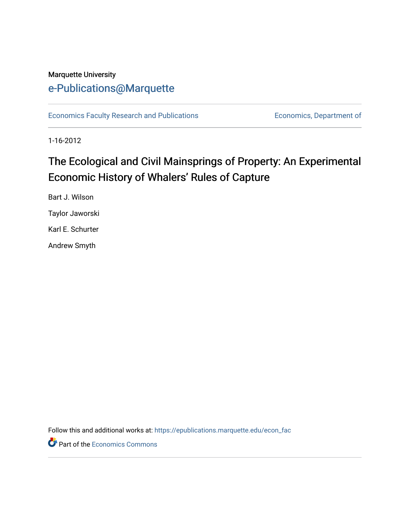## Marquette University [e-Publications@Marquette](https://epublications.marquette.edu/)

[Economics Faculty Research and Publications](https://epublications.marquette.edu/econ_fac) **Economics**, Department of

1-16-2012

# The Ecological and Civil Mainsprings of Property: An Experimental Economic History of Whalers' Rules of Capture

Bart J. Wilson Taylor Jaworski Karl E. Schurter Andrew Smyth

Follow this and additional works at: [https://epublications.marquette.edu/econ\\_fac](https://epublications.marquette.edu/econ_fac?utm_source=epublications.marquette.edu%2Fecon_fac%2F602&utm_medium=PDF&utm_campaign=PDFCoverPages) 

**P** Part of the [Economics Commons](http://network.bepress.com/hgg/discipline/340?utm_source=epublications.marquette.edu%2Fecon_fac%2F602&utm_medium=PDF&utm_campaign=PDFCoverPages)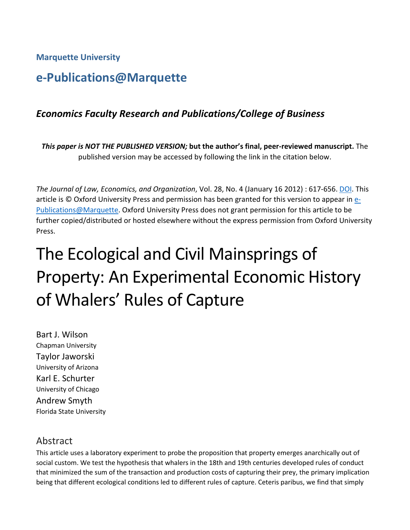**Marquette University**

## **e-Publications@Marquette**

## *Economics Faculty Research and Publications/College of Business*

*This paper is NOT THE PUBLISHED VERSION;* **but the author's final, peer-reviewed manuscript.** The published version may be accessed by following the link in the citation below.

*The Journal of Law, Economics, and Organization*, Vol. 28, No. 4 (January 16 2012) : 617-656. [DOI.](https://academic.oup.com/jleo/article/28/4/617/834974) This article is © Oxford University Press and permission has been granted for this version to appear in [e-](http://epublications.marquette.edu/)[Publications@Marquette.](http://epublications.marquette.edu/) Oxford University Press does not grant permission for this article to be further copied/distributed or hosted elsewhere without the express permission from Oxford University Press.

# The Ecological and Civil Mainsprings of Property: An Experimental Economic History of Whalers' Rules of Capture

Bart J. Wilson Chapman University Taylor Jaworski University of Arizona Karl E. Schurter University of Chicago Andrew Smyth Florida State University

#### Abstract

This article uses a laboratory experiment to probe the proposition that property emerges anarchically out of social custom. We test the hypothesis that whalers in the 18th and 19th centuries developed rules of conduct that minimized the sum of the transaction and production costs of capturing their prey, the primary implication being that different ecological conditions led to different rules of capture. Ceteris paribus, we find that simply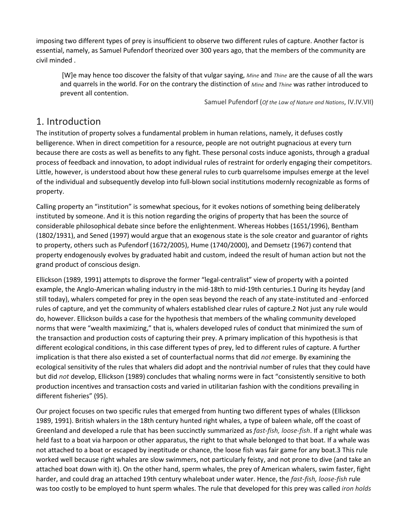imposing two different types of prey is insufficient to observe two different rules of capture. Another factor is essential, namely, as Samuel Pufendorf theorized over 300 years ago, that the members of the community are civil minded .

[W]e may hence too discover the falsity of that vulgar saying, *Mine* and *Thine* are the cause of all the wars and quarrels in the world. For on the contrary the distinction of *Mine* and *Thine* was rather introduced to prevent all contention.

Samuel Pufendorf (*Of the Law of Nature and Nations*, IV.IV.VII)

### 1. Introduction

The institution of property solves a fundamental problem in human relations, namely, it defuses costly belligerence. When in direct competition for a resource, people are not outright pugnacious at every turn because there are costs as well as benefits to any fight. These personal costs induce agonists, through a gradual process of feedback and innovation, to adopt individual rules of restraint for orderly engaging their competitors. Little, however, is understood about how these general rules to curb quarrelsome impulses emerge at the level of the individual and subsequently develop into full-blown social institutions modernly recognizable as forms of property.

Calling property an "institution" is somewhat specious, for it evokes notions of something being deliberately instituted by someone. And it is this notion regarding the origins of property that has been the source of considerable philosophical debate since before the enlightenment. Whereas Hobbes (1651/1996), Bentham (1802/1931), and Sened (1997) would argue that an exogenous state is the sole creator and guarantor of rights to property, others such as Pufendorf (1672/2005), Hume (1740/2000), and Demsetz (1967) contend that property endogenously evolves by graduated habit and custom, indeed the result of human action but not the grand product of conscious design.

Ellickson (1989, 1991) attempts to disprove the former "legal-centralist" view of property with a pointed example, the Anglo-American whaling industry in the mid-18th to mid-19th centuries.1 During its heyday (and still today), whalers competed for prey in the open seas beyond the reach of any state-instituted and -enforced rules of capture, and yet the community of whalers established clear rules of capture.2 Not just any rule would do, however. Ellickson builds a case for the hypothesis that members of the whaling community developed norms that were "wealth maximizing," that is, whalers developed rules of conduct that minimized the sum of the transaction and production costs of capturing their prey. A primary implication of this hypothesis is that different ecological conditions, in this case different types of prey, led to different rules of capture. A further implication is that there also existed a set of counterfactual norms that did *not* emerge. By examining the ecological sensitivity of the rules that whalers did adopt and the nontrivial number of rules that they could have but did *not* develop, Ellickson (1989) concludes that whaling norms were in fact "consistently sensitive to both production incentives and transaction costs and varied in utilitarian fashion with the conditions prevailing in different fisheries" (95).

Our project focuses on two specific rules that emerged from hunting two different types of whales (Ellickson 1989, 1991). British whalers in the 18th century hunted right whales, a type of baleen whale, off the coast of Greenland and developed a rule that has been succinctly summarized as *fast-fish, loose-fish*. If a right whale was held fast to a boat via harpoon or other apparatus, the right to that whale belonged to that boat. If a whale was not attached to a boat or escaped by ineptitude or chance, the loose fish was fair game for any boat.3 This rule worked well because right whales are slow swimmers, not particularly feisty, and not prone to dive (and take an attached boat down with it). On the other hand, sperm whales, the prey of American whalers, swim faster, fight harder, and could drag an attached 19th century whaleboat under water. Hence, the *fast-fish, loose-fish* rule was too costly to be employed to hunt sperm whales. The rule that developed for this prey was called *iron holds*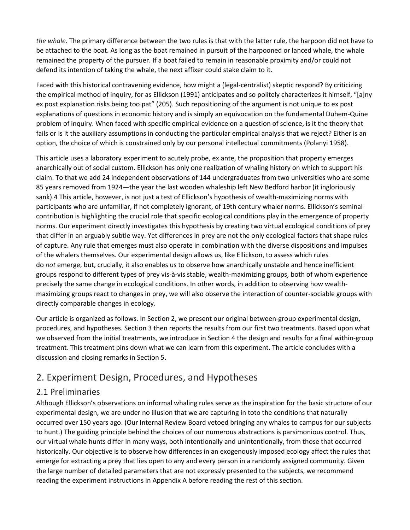*the whale*. The primary difference between the two rules is that with the latter rule, the harpoon did not have to be attached to the boat. As long as the boat remained in pursuit of the harpooned or lanced whale, the whale remained the property of the pursuer. If a boat failed to remain in reasonable proximity and/or could not defend its intention of taking the whale, the next affixer could stake claim to it.

Faced with this historical contravening evidence, how might a (legal-centralist) skeptic respond? By criticizing the empirical method of inquiry, for as Ellickson (1991) anticipates and so politely characterizes it himself, "[a]ny ex post explanation risks being too pat" (205). Such repositioning of the argument is not unique to ex post explanations of questions in economic history and is simply an equivocation on the fundamental Duhem-Quine problem of inquiry. When faced with specific empirical evidence on a question of science, is it the theory that fails or is it the auxiliary assumptions in conducting the particular empirical analysis that we reject? Either is an option, the choice of which is constrained only by our personal intellectual commitments (Polanyi 1958).

This article uses a laboratory experiment to acutely probe, ex ante, the proposition that property emerges anarchically out of social custom. Ellickson has only one realization of whaling history on which to support his claim. To that we add 24 independent observations of 144 undergraduates from two universities who are some 85 years removed from 1924—the year the last wooden whaleship left New Bedford harbor (it ingloriously sank).4 This article, however, is not just a test of Ellickson's hypothesis of wealth-maximizing norms with participants who are unfamiliar, if not completely ignorant, of 19th century whaler norms. Ellickson's seminal contribution is highlighting the crucial role that specific ecological conditions play in the emergence of property norms. Our experiment directly investigates this hypothesis by creating two virtual ecological conditions of prey that differ in an arguably subtle way. Yet differences in prey are not the only ecological factors that shape rules of capture. Any rule that emerges must also operate in combination with the diverse dispositions and impulses of the whalers themselves. Our experimental design allows us, like Ellickson, to assess which rules do *not* emerge, but, crucially, it also enables us to observe how anarchically unstable and hence inefficient groups respond to different types of prey vis-à-vis stable, wealth-maximizing groups, both of whom experience precisely the same change in ecological conditions. In other words, in addition to observing how wealthmaximizing groups react to changes in prey, we will also observe the interaction of counter-sociable groups with directly comparable changes in ecology.

Our article is organized as follows. In Section 2, we present our original between-group experimental design, procedures, and hypotheses. Section 3 then reports the results from our first two treatments. Based upon what we observed from the initial treatments, we introduce in Section 4 the design and results for a final within-group treatment. This treatment pins down what we can learn from this experiment. The article concludes with a discussion and closing remarks in Section 5.

## 2. Experiment Design, Procedures, and Hypotheses

#### 2.1 Preliminaries

Although Ellickson's observations on informal whaling rules serve as the inspiration for the basic structure of our experimental design, we are under no illusion that we are capturing in toto the conditions that naturally occurred over 150 years ago. (Our Internal Review Board vetoed bringing any whales to campus for our subjects to hunt.) The guiding principle behind the choices of our numerous abstractions is parsimonious control. Thus, our virtual whale hunts differ in many ways, both intentionally and unintentionally, from those that occurred historically. Our objective is to observe how differences in an exogenously imposed ecology affect the rules that emerge for extracting a prey that lies open to any and every person in a randomly assigned community. Given the large number of detailed parameters that are not expressly presented to the subjects, we recommend reading the experiment instructions in Appendix A before reading the rest of this section.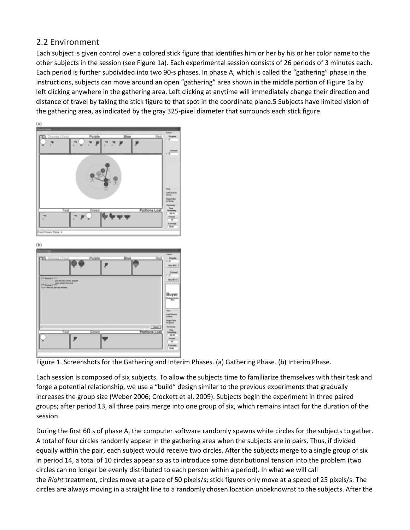#### 2.2 Environment

Each subject is given control over a colored stick figure that identifies him or her by his or her color name to the other subjects in the session (see Figure 1a). Each experimental session consists of 26 periods of 3 minutes each. Each period is further subdivided into two 90-s phases. In phase A, which is called the "gathering" phase in the instructions, subjects can move around an open "gathering" area shown in the middle portion of Figure 1a by left clicking anywhere in the gathering area. Left clicking at anytime will immediately change their direction and distance of travel by taking the stick figure to that spot in the coordinate plane.5 Subjects have limited vision of the gathering area, as indicated by the gray 325-pixel diameter that surrounds each stick figure.



Figure 1. Screenshots for the Gathering and Interim Phases. (a) Gathering Phase. (b) Interim Phase.

Each session is composed of six subjects. To allow the subjects time to familiarize themselves with their task and forge a potential relationship, we use a "build" design similar to the previous experiments that gradually increases the group size (Weber 2006; Crockett et al. 2009). Subjects begin the experiment in three paired groups; after period 13, all three pairs merge into one group of six, which remains intact for the duration of the session.

During the first 60 s of phase A, the computer software randomly spawns white circles for the subjects to gather. A total of four circles randomly appear in the gathering area when the subjects are in pairs. Thus, if divided equally within the pair, each subject would receive two circles. After the subjects merge to a single group of six in period 14, a total of 10 circles appear so as to introduce some distributional tension into the problem (two circles can no longer be evenly distributed to each person within a period). In what we will call the *Right* treatment, circles move at a pace of 50 pixels/s; stick figures only move at a speed of 25 pixels/s. The circles are always moving in a straight line to a randomly chosen location unbeknownst to the subjects. After the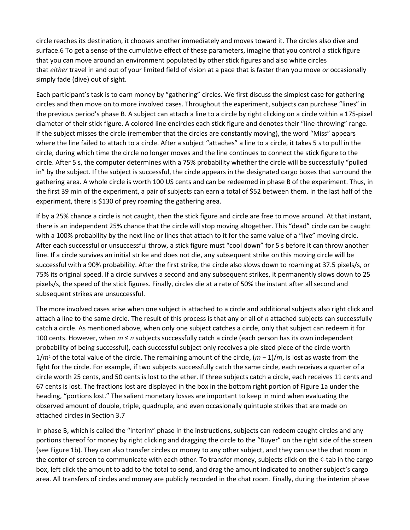circle reaches its destination, it chooses another immediately and moves toward it. The circles also dive and surface.6 To get a sense of the cumulative effect of these parameters, imagine that you control a stick figure that you can move around an environment populated by other stick figures and also white circles that *either* travel in and out of your limited field of vision at a pace that is faster than you move *or* occasionally simply fade (dive) out of sight.

Each participant's task is to earn money by "gathering" circles. We first discuss the simplest case for gathering circles and then move on to more involved cases. Throughout the experiment, subjects can purchase "lines" in the previous period's phase B. A subject can attach a line to a circle by right clicking on a circle within a 175-pixel diameter of their stick figure. A colored line encircles each stick figure and denotes their "line-throwing" range. If the subject misses the circle (remember that the circles are constantly moving), the word "Miss" appears where the line failed to attach to a circle. After a subject "attaches" a line to a circle, it takes 5 s to pull in the circle, during which time the circle no longer moves and the line continues to connect the stick figure to the circle. After 5 s, the computer determines with a 75% probability whether the circle will be successfully "pulled in" by the subject. If the subject is successful, the circle appears in the designated cargo boxes that surround the gathering area. A whole circle is worth 100 US cents and can be redeemed in phase B of the experiment. Thus, in the first 39 min of the experiment, a pair of subjects can earn a total of \$52 between them. In the last half of the experiment, there is \$130 of prey roaming the gathering area.

If by a 25% chance a circle is not caught, then the stick figure and circle are free to move around. At that instant, there is an independent 25% chance that the circle will stop moving altogether. This "dead" circle can be caught with a 100% probability by the next line or lines that attach to it for the same value of a "live" moving circle. After each successful or unsuccessful throw, a stick figure must "cool down" for 5 s before it can throw another line. If a circle survives an initial strike and does not die, any subsequent strike on this moving circle will be successful with a 90% probability. After the first strike, the circle also slows down to roaming at 37.5 pixels/s, or 75% its original speed. If a circle survives a second and any subsequent strikes, it permanently slows down to 25 pixels/s, the speed of the stick figures. Finally, circles die at a rate of 50% the instant after all second and subsequent strikes are unsuccessful.

The more involved cases arise when one subject is attached to a circle and additional subjects also right click and attach a line to the same circle. The result of this process is that any or all of *n* attached subjects can successfully catch a circle. As mentioned above, when only one subject catches a circle, only that subject can redeem it for 100 cents. However, when *m* ≤ *n* subjects successfully catch a circle (each person has its own independent probability of being successful), each successful subject only receives a pie-sized piece of the circle worth 1/*m*<sup>2</sup> of the total value of the circle. The remaining amount of the circle, (*m* − 1)/*m*, is lost as waste from the fight for the circle. For example, if two subjects successfully catch the same circle, each receives a quarter of a circle worth 25 cents, and 50 cents is lost to the ether. If three subjects catch a circle, each receives 11 cents and 67 cents is lost. The fractions lost are displayed in the box in the bottom right portion of Figure 1a under the heading, "portions lost." The salient monetary losses are important to keep in mind when evaluating the observed amount of double, triple, quadruple, and even occasionally quintuple strikes that are made on attached circles in Section 3.7

In phase B, which is called the "interim" phase in the instructions, subjects can redeem caught circles and any portions thereof for money by right clicking and dragging the circle to the "Buyer" on the right side of the screen (see Figure 1b). They can also transfer circles or money to any other subject, and they can use the chat room in the center of screen to communicate with each other. To transfer money, subjects click on the ¢-tab in the cargo box, left click the amount to add to the total to send, and drag the amount indicated to another subject's cargo area. All transfers of circles and money are publicly recorded in the chat room. Finally, during the interim phase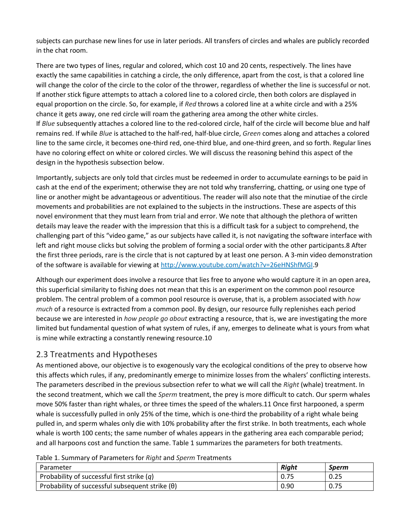subjects can purchase new lines for use in later periods. All transfers of circles and whales are publicly recorded in the chat room.

There are two types of lines, regular and colored, which cost 10 and 20 cents, respectively. The lines have exactly the same capabilities in catching a circle, the only difference, apart from the cost, is that a colored line will change the color of the circle to the color of the thrower, regardless of whether the line is successful or not. If another stick figure attempts to attach a colored line to a colored circle, then both colors are displayed in equal proportion on the circle. So, for example, if *Red* throws a colored line at a white circle and with a 25% chance it gets away, one red circle will roam the gathering area among the other white circles. If *Blue* subsequently attaches a colored line to the red-colored circle, half of the circle will become blue and half remains red. If while *Blue* is attached to the half-red, half-blue circle, *Green* comes along and attaches a colored line to the same circle, it becomes one-third red, one-third blue, and one-third green, and so forth. Regular lines have no coloring effect on white or colored circles. We will discuss the reasoning behind this aspect of the design in the hypothesis subsection below.

Importantly, subjects are only told that circles must be redeemed in order to accumulate earnings to be paid in cash at the end of the experiment; otherwise they are not told why transferring, chatting, or using one type of line or another might be advantageous or adventitious. The reader will also note that the minutiae of the circle movements and probabilities are not explained to the subjects in the instructions. These are aspects of this novel environment that they must learn from trial and error. We note that although the plethora of written details may leave the reader with the impression that this is a difficult task for a subject to comprehend, the challenging part of this "video game," as our subjects have called it, is not navigating the software interface with left and right mouse clicks but solving the problem of forming a social order with the other participants.8 After the first three periods, rare is the circle that is not captured by at least one person. A 3-min video demonstration of the software is available for viewing at [http://www.youtube.com/watch?v=26eHNShfMGI.](http://www.youtube.com/watch?v=26eHNShfMGI)9

Although our experiment does involve a resource that lies free to anyone who would capture it in an open area, this superficial similarity to fishing does not mean that this is an experiment on the common pool resource problem. The central problem of a common pool resource is overuse, that is, a problem associated with *how much* of a resource is extracted from a common pool. By design, our resource fully replenishes each period because we are interested in *how people go about* extracting a resource, that is, we are investigating the more limited but fundamental question of what system of rules, if any, emerges to delineate what is yours from what is mine while extracting a constantly renewing resource.10

#### 2.3 Treatments and Hypotheses

As mentioned above, our objective is to exogenously vary the ecological conditions of the prey to observe how this affects which rules, if any, predominantly emerge to minimize losses from the whalers' conflicting interests. The parameters described in the previous subsection refer to what we will call the *Right* (whale) treatment. In the second treatment, which we call the *Sperm* treatment, the prey is more difficult to catch. Our sperm whales move 50% faster than right whales, or three times the speed of the whalers.11 Once first harpooned, a sperm whale is successfully pulled in only 25% of the time, which is one-third the probability of a right whale being pulled in, and sperm whales only die with 10% probability after the first strike. In both treatments, each whole whale is worth 100 cents; the same number of whales appears in the gathering area each comparable period; and all harpoons cost and function the same. Table 1 summarizes the parameters for both treatments.

|  | Table 1. Summary of Parameters for Right and Sperm Treatments |
|--|---------------------------------------------------------------|
|  |                                                               |

| Parameter                                              | <b>Right</b> | <b>Sperm</b> |
|--------------------------------------------------------|--------------|--------------|
| Probability of successful first strike (q)             |              | 0.25         |
| Probability of successful subsequent strike $(\theta)$ | 0.90         | 0.75         |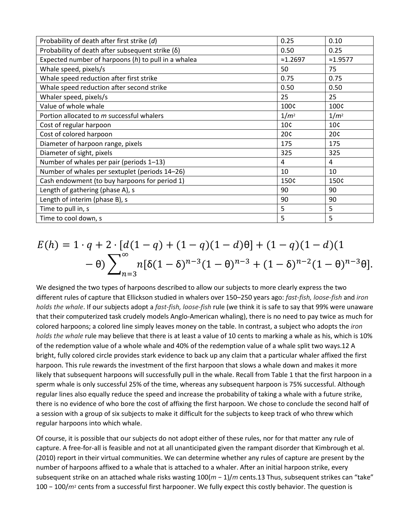| Probability of death after first strike (d)             | 0.25             | 0.10             |
|---------------------------------------------------------|------------------|------------------|
| Probability of death after subsequent strike $(\delta)$ | 0.50             | 0.25             |
| Expected number of harpoons $(h)$ to pull in a whalea   | $\approx 1.2697$ | $\approx 1.9577$ |
| Whale speed, pixels/s                                   | 50               | 75               |
| Whale speed reduction after first strike                | 0.75             | 0.75             |
| Whale speed reduction after second strike               | 0.50             | 0.50             |
| Whaler speed, pixels/s                                  | 25               | 25               |
| Value of whole whale                                    | 100¢             | 100¢             |
| Portion allocated to m successful whalers               | 1/m <sup>2</sup> | 1/m <sup>2</sup> |
| Cost of regular harpoon                                 | 10¢              | 10c              |
| Cost of colored harpoon                                 | 20¢              | 20¢              |
| Diameter of harpoon range, pixels                       | 175              | 175              |
| Diameter of sight, pixels                               | 325              | 325              |
| Number of whales per pair (periods 1-13)                | 4                | 4                |
| Number of whales per sextuplet (periods 14-26)          | 10               | 10               |
| Cash endowment (to buy harpoons for period 1)           | 150¢             | 150¢             |
| Length of gathering (phase A), s                        | 90               | 90               |
| Length of interim (phase B), s                          | 90               | 90               |
| Time to pull in, s                                      | 5                | 5                |
| Time to cool down, s                                    | 5                | 5                |

$$
E(h) = 1 \cdot q + 2 \cdot [d(1-q) + (1-q)(1-d)\theta] + (1-q)(1-d)(1-d)
$$

$$
- \theta) \sum_{n=3}^{\infty} n[\delta(1-\delta)^{n-3}(1-\theta)^{n-3} + (1-\delta)^{n-2}(1-\theta)^{n-3}\theta].
$$

We designed the two types of harpoons described to allow our subjects to more clearly express the two different rules of capture that Ellickson studied in whalers over 150–250 years ago: *fast-fish, loose-fish* and *iron holds the whale*. If our subjects adopt a *fast-fish, loose-fish* rule (we think it is safe to say that 99% were unaware that their computerized task crudely models Anglo-American whaling), there is no need to pay twice as much for colored harpoons; a colored line simply leaves money on the table. In contrast, a subject who adopts the *iron holds the whale* rule may believe that there is at least a value of 10 cents to marking a whale as his, which is 10% of the redemption value of a whole whale and 40% of the redemption value of a whale split two ways.12 A bright, fully colored circle provides stark evidence to back up any claim that a particular whaler affixed the first harpoon. This rule rewards the investment of the first harpoon that slows a whale down and makes it more likely that subsequent harpoons will successfully pull in the whale. Recall from Table 1 that the first harpoon in a sperm whale is only successful 25% of the time, whereas any subsequent harpoon is 75% successful. Although regular lines also equally reduce the speed and increase the probability of taking a whale with a future strike, there is no evidence of who bore the cost of affixing the first harpoon. We chose to conclude the second half of a session with a group of six subjects to make it difficult for the subjects to keep track of who threw which regular harpoons into which whale.

Of course, it is possible that our subjects do not adopt either of these rules, nor for that matter any rule of capture. A free-for-all is feasible and not at all unanticipated given the rampant disorder that Kimbrough et al. (2010) report in their virtual communities. We can determine whether any rules of capture are present by the number of harpoons affixed to a whale that is attached to a whaler. After an initial harpoon strike, every subsequent strike on an attached whale risks wasting 100(*m* − 1)/*m* cents.13 Thus, subsequent strikes can "take" 100 − 100/*m*<sup>2</sup> cents from a successful first harpooner. We fully expect this costly behavior. The question is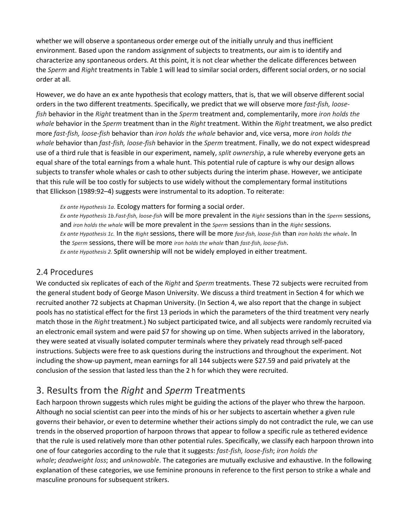whether we will observe a spontaneous order emerge out of the initially unruly and thus inefficient environment. Based upon the random assignment of subjects to treatments, our aim is to identify and characterize any spontaneous orders. At this point, it is not clear whether the delicate differences between the *Sperm* and *Right* treatments in Table 1 will lead to similar social orders, different social orders, or no social order at all.

However, we do have an ex ante hypothesis that ecology matters, that is, that we will observe different social orders in the two different treatments. Specifically, we predict that we will observe more *fast-fish, loosefish* behavior in the *Right* treatment than in the *Sperm* treatment and, complementarily, more *iron holds the whale* behavior in the *Sperm* treatment than in the *Right* treatment. Within the *Right* treatment, we also predict more *fast-fish, loose-fish* behavior than *iron holds the whale* behavior and, vice versa, more *iron holds the whale* behavior than *fast-fish, loose-fish* behavior in the *Sperm* treatment. Finally, we do not expect widespread use of a third rule that is feasible in our experiment, namely, *split ownership*, a rule whereby everyone gets an equal share of the total earnings from a whale hunt. This potential rule of capture is why our design allows subjects to transfer whole whales or cash to other subjects during the interim phase. However, we anticipate that this rule will be too costly for subjects to use widely without the complementary formal institutions that Ellickson (1989:92–4) suggests were instrumental to its adoption. To reiterate:

*Ex ante Hypothesis 1a.* Ecology matters for forming a social order.

*Ex ante Hypothesis 1b.Fast-fish, loose-fish* will be more prevalent in the *Right* sessions than in the *Sperm* sessions, and *iron holds the whale* will be more prevalent in the *Sperm* sessions than in the *Right* sessions. *Ex ante Hypothesis 1c.* In the *Right* sessions, there will be more *fast-fish, loose-fish* than *iron holds the whale*. In the *Sperm* sessions, there will be more *iron holds the whale* than *fast-fish, loose-fish*. *Ex ante Hypothesis 2.* Split ownership will not be widely employed in either treatment.

#### 2.4 Procedures

We conducted six replicates of each of the *Right* and *Sperm* treatments. These 72 subjects were recruited from the general student body of George Mason University. We discuss a third treatment in Section 4 for which we recruited another 72 subjects at Chapman University. (In Section 4, we also report that the change in subject pools has no statistical effect for the first 13 periods in which the parameters of the third treatment very nearly match those in the *Right* treatment.) No subject participated twice, and all subjects were randomly recruited via an electronic email system and were paid \$7 for showing up on time. When subjects arrived in the laboratory, they were seated at visually isolated computer terminals where they privately read through self-paced instructions. Subjects were free to ask questions during the instructions and throughout the experiment. Not including the show-up payment, mean earnings for all 144 subjects were \$27.59 and paid privately at the conclusion of the session that lasted less than the 2 h for which they were recruited.

## 3. Results from the *Right* and *Sperm* Treatments

Each harpoon thrown suggests which rules might be guiding the actions of the player who threw the harpoon. Although no social scientist can peer into the minds of his or her subjects to ascertain whether a given rule governs their behavior, or even to determine whether their actions simply do not contradict the rule, we can use trends in the observed proportion of harpoon throws that appear to follow a specific rule as tethered evidence that the rule is used relatively more than other potential rules. Specifically, we classify each harpoon thrown into one of four categories according to the rule that it suggests: *fast-fish, loose-fish*; *iron holds the whale*; *deadweight loss*; and *unknowable*. The categories are mutually exclusive and exhaustive. In the following explanation of these categories, we use feminine pronouns in reference to the first person to strike a whale and masculine pronouns for subsequent strikers.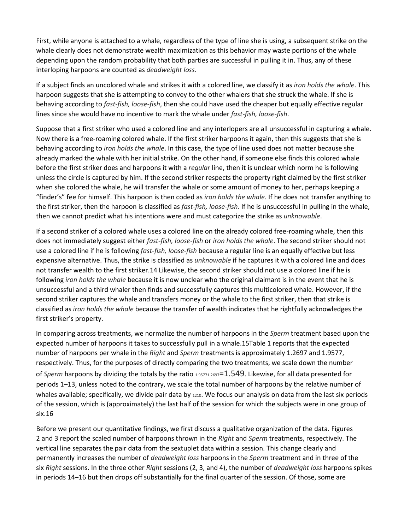First, while anyone is attached to a whale, regardless of the type of line she is using, a subsequent strike on the whale clearly does not demonstrate wealth maximization as this behavior may waste portions of the whale depending upon the random probability that both parties are successful in pulling it in. Thus, any of these interloping harpoons are counted as *deadweight loss*.

If a subject finds an uncolored whale and strikes it with a colored line, we classify it as *iron holds the whale*. This harpoon suggests that she is attempting to convey to the other whalers that she struck the whale. If she is behaving according to *fast-fish, loose-fish*, then she could have used the cheaper but equally effective regular lines since she would have no incentive to mark the whale under *fast-fish, loose-fish*.

Suppose that a first striker who used a colored line and any interlopers are all unsuccessful in capturing a whale. Now there is a free-roaming colored whale. If the first striker harpoons it again, then this suggests that she is behaving according to *iron holds the whale*. In this case, the type of line used does not matter because she already marked the whale with her initial strike. On the other hand, if someone else finds this colored whale before the first striker does and harpoons it with a *regular* line, then it is unclear which norm he is following unless the circle is captured by him. If the second striker respects the property right claimed by the first striker when she colored the whale, he will transfer the whale or some amount of money to her, perhaps keeping a "finder's" fee for himself. This harpoon is then coded as *iron holds the whale*. If he does not transfer anything to the first striker, then the harpoon is classified as *fast-fish, loose-fish*. If he is unsuccessful in pulling in the whale, then we cannot predict what his intentions were and must categorize the strike as *unknowable*.

If a second striker of a colored whale uses a colored line on the already colored free-roaming whale, then this does not immediately suggest either *fast-fish, loose-fish* or *iron holds the whale*. The second striker should not use a colored line if he is following *fast-fish, loose-fish* because a regular line is an equally effective but less expensive alternative. Thus, the strike is classified as *unknowable* if he captures it with a colored line and does not transfer wealth to the first striker.14 Likewise, the second striker should not use a colored line if he is following *iron holds the whale* because it is now unclear who the original claimant is in the event that he is unsuccessful and a third whaler then finds and successfully captures this multicolored whale. However, if the second striker captures the whale and transfers money or the whale to the first striker, then that strike is classified as *iron holds the whale* because the transfer of wealth indicates that he rightfully acknowledges the first striker's property.

In comparing across treatments, we normalize the number of harpoons in the *Sperm* treatment based upon the expected number of harpoons it takes to successfully pull in a whale.15Table 1 reports that the expected number of harpoons per whale in the *Right* and *Sperm* treatments is approximately 1.2697 and 1.9577, respectively. Thus, for the purposes of directly comparing the two treatments, we scale down the number of *Sperm* harpoons by dividing the totals by the ratio 1.95771.2697=1.549. Likewise, for all data presented for periods 1–13, unless noted to the contrary, we scale the total number of harpoons by the relative number of whales available; specifically, we divide pair data by 1210. We focus our analysis on data from the last six periods of the session, which is (approximately) the last half of the session for which the subjects were in one group of six.16

Before we present our quantitative findings, we first discuss a qualitative organization of the data. Figures 2 and 3 report the scaled number of harpoons thrown in the *Right* and *Sperm* treatments, respectively. The vertical line separates the pair data from the sextuplet data within a session. This change clearly and permanently increases the number of *deadweight loss* harpoons in the *Sperm* treatment and in three of the six *Right* sessions. In the three other *Right* sessions (2, 3, and 4), the number of *deadweight loss* harpoons spikes in periods 14–16 but then drops off substantially for the final quarter of the session. Of those, some are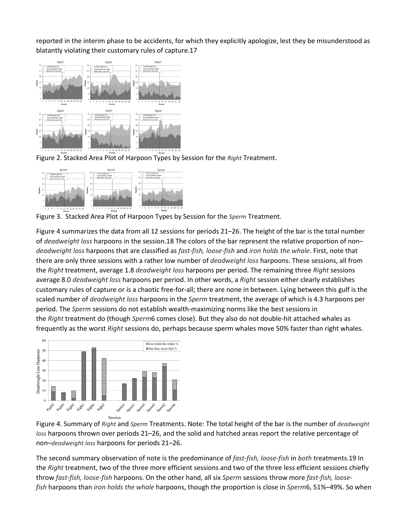reported in the interim phase to be accidents, for which they explicitly apologize, lest they be misunderstood as blatantly violating their customary rules of capture.17



Figure 2. Stacked Area Plot of Harpoon Types by Session for the *Right* Treatment.



Figure 3. Stacked Area Plot of Harpoon Types by Session for the *Sperm* Treatment.

Figure 4 summarizes the data from all 12 sessions for periods 21–26. The height of the bar is the total number of *deadweight loss* harpoons in the session.18 The colors of the bar represent the relative proportion of non– *deadweight loss* harpoons that are classified as *fast-fish, loose-fish* and *iron holds the whale*. First, note that there are only three sessions with a rather low number of *deadweight loss* harpoons. These sessions, all from the *Right* treatment, average 1.8 *deadweight loss* harpoons per period. The remaining three *Right* sessions average 8.0 *deadweight loss* harpoons per period. In other words, a *Right* session either clearly establishes customary rules of capture or is a chaotic free-for-all; there are none in between. Lying between this gulf is the scaled number of *deadweight loss* harpoons in the *Sperm* treatment, the average of which is 4.3 harpoons per period. The *Sperm* sessions do not establish wealth-maximizing norms like the best sessions in the *Right* treatment do (though *Sperm*6 comes close). But they also do not double-hit attached whales as frequently as the worst *Right* sessions do, perhaps because sperm whales move 50% faster than right whales.



Figure 4. Summary of *Right* and *Sperm* Treatments. Note: The total height of the bar is the number of *deadweight loss* harpoons thrown over periods 21–26, and the solid and hatched areas report the relative percentage of non–*deadweight loss* harpoons for periods 21–26.

The second summary observation of note is the predominance of *fast-fish, loose-fish* in *both* treatments.19 In the *Right* treatment, two of the three more efficient sessions and two of the three less efficient sessions chiefly throw *fast-fish, loose-fish* harpoons. On the other hand, all six *Sperm* sessions throw more *fast-fish, loosefish* harpoons than *iron holds the whale* harpoons, though the proportion is close in *Sperm*6, 51%–49%. So when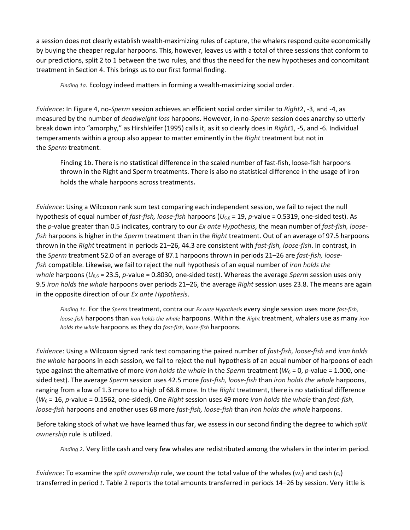a session does not clearly establish wealth-maximizing rules of capture, the whalers respond quite economically by buying the cheaper regular harpoons. This, however, leaves us with a total of three sessions that conform to our predictions, split 2 to 1 between the two rules, and thus the need for the new hypotheses and concomitant treatment in Section 4. This brings us to our first formal finding.

*Finding 1a*. Ecology indeed matters in forming a wealth-maximizing social order.

*Evidence*: In Figure 4, no-*Sperm* session achieves an efficient social order similar to *Right*2, -3, and -4, as measured by the number of *deadweight loss* harpoons. However, in no-*Sperm* session does anarchy so utterly break down into "amorphy," as Hirshleifer (1995) calls it, as it so clearly does in *Right*1, -5, and -6. Individual temperaments within a group also appear to matter eminently in the *Right* treatment but not in the *Sperm* treatment.

Finding 1b. There is no statistical difference in the scaled number of fast-fish, loose-fish harpoons thrown in the Right and Sperm treatments. There is also no statistical difference in the usage of iron holds the whale harpoons across treatments.

*Evidence*: Using a Wilcoxon rank sum test comparing each independent session, we fail to reject the null hypothesis of equal number of *fast-fish, loose-fish* harpoons (*U*6,6 = 19, *p*-value = 0.5319, one-sided test). As the *p*-value greater than 0.5 indicates, contrary to our *Ex ante Hypothesis*, the mean number of *fast-fish, loosefish* harpoons is higher in the *Sperm* treatment than in the *Right* treatment. Out of an average of 97.5 harpoons thrown in the *Right* treatment in periods 21–26, 44.3 are consistent with *fast-fish, loose-fish*. In contrast, in the *Sperm* treatment 52.0 of an average of 87.1 harpoons thrown in periods 21–26 are *fast-fish, loosefish* compatible. Likewise, we fail to reject the null hypothesis of an equal number of *iron holds the whale* harpoons (*U*6,6 = 23.5, *p*-value = 0.8030, one-sided test). Whereas the average *Sperm* session uses only 9.5 *iron holds the whale* harpoons over periods 21–26, the average *Right* session uses 23.8. The means are again in the opposite direction of our *Ex ante Hypothesis*.

*Finding 1c*. For the *Sperm* treatment, contra our *Ex ante Hypothesis* every single session uses more *fast-fish, loose-fish* harpoons than *iron holds the whale* harpoons. Within the *Right* treatment, whalers use as many *iron holds the whale* harpoons as they do *fast-fish, loose-fish* harpoons.

*Evidence*: Using a Wilcoxon signed rank test comparing the paired number of *fast-fish, loose-fish* and *iron holds the whale* harpoons in each session, we fail to reject the null hypothesis of an equal number of harpoons of each type against the alternative of more *iron holds the whale* in the *Sperm* treatment ( $W_6$  = 0, *p*-value = 1.000, onesided test). The average *Sperm* session uses 42.5 more *fast-fish, loose-fish* than *iron holds the whale* harpoons, ranging from a low of 1.3 more to a high of 68.8 more. In the *Right* treatment, there is no statistical difference (*W*<sup>6</sup> = 16, *p*-value = 0.1562, one-sided). One *Right* session uses 49 more *iron holds the whale* than *fast-fish, loose-fish* harpoons and another uses 68 more *fast-fish, loose-fish* than *iron holds the whale* harpoons.

Before taking stock of what we have learned thus far, we assess in our second finding the degree to which *split ownership* rule is utilized.

*Finding 2*. Very little cash and very few whales are redistributed among the whalers in the interim period.

*Evidence*: To examine the *split ownership* rule, we count the total value of the whales (*wt*) and cash (*ct*) transferred in period *t*. Table 2 reports the total amounts transferred in periods 14–26 by session. Very little is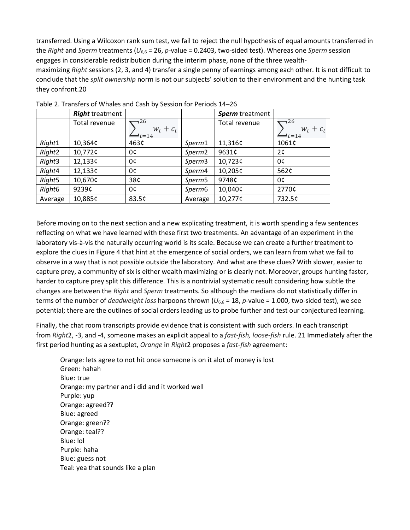transferred. Using a Wilcoxon rank sum test, we fail to reject the null hypothesis of equal amounts transferred in the *Right* and *Sperm* treatments (*U*6,6 = 26, *p*-value = 0.2403, two-sided test). Whereas one *Sperm* session engages in considerable redistribution during the interim phase, none of the three wealth-

maximizing *Right* sessions (2, 3, and 4) transfer a single penny of earnings among each other. It is not difficult to conclude that the *split ownership* norm is not our subjects' solution to their environment and the hunting task they confront.20

|                    | <b>Right treatment</b> |                                     |                    | <b>Sperm</b> treatment |                                     |
|--------------------|------------------------|-------------------------------------|--------------------|------------------------|-------------------------------------|
|                    | Total revenue          | $\neg$ 26<br>$W_t + C_t$<br>$-t=14$ |                    | Total revenue          | $\neg$ 26<br>$W_t + C_t$<br>$-t=14$ |
| Right1             | 10,364¢                | 463¢                                | Sperm1             | 11,316¢                | 1061¢                               |
| Right <sub>2</sub> | 10,772¢                | 0¢                                  | Sperm <sub>2</sub> | 9631¢                  | 2¢                                  |
| Right3             | 12,133¢                | 0¢                                  | Sperm3             | 10,723¢                | 0ċ                                  |
| Right4             | 12,133¢                | 0¢                                  | Sperm4             | 10,205¢                | 562¢                                |
| Right <sub>5</sub> | 10,670¢                | 38¢                                 | Sperm <sub>5</sub> | 9748¢                  | 0¢                                  |
| Right <sub>6</sub> | 9239¢                  | 0¢                                  | Sperm <sub>6</sub> | 10,040¢                | 2770¢                               |
| Average            | 10,885¢                | 83.5¢                               | Average            | 10,277¢                | 732.5¢                              |

Table 2. Transfers of Whales and Cash by Session for Periods 14–26

Before moving on to the next section and a new explicating treatment, it is worth spending a few sentences reflecting on what we have learned with these first two treatments. An advantage of an experiment in the laboratory vis-à-vis the naturally occurring world is its scale. Because we can create a further treatment to explore the clues in Figure 4 that hint at the emergence of social orders, we can learn from what we fail to observe in a way that is not possible outside the laboratory. And what are these clues? With slower, easier to capture prey, a community of six is either wealth maximizing or is clearly not. Moreover, groups hunting faster, harder to capture prey split this difference. This is a nontrivial systematic result considering how subtle the changes are between the *Right* and *Sperm* treatments. So although the medians do not statistically differ in terms of the number of *deadweight loss* harpoons thrown (*U*6,6 = 18, *p*-value = 1.000, two-sided test), we see potential; there are the outlines of social orders leading us to probe further and test our conjectured learning.

Finally, the chat room transcripts provide evidence that is consistent with such orders. In each transcript from *Right*2, -3, and -4, someone makes an explicit appeal to a *fast-fish, loose-fish* rule. 21 Immediately after the first period hunting as a sextuplet, *Orange* in *Right*2 proposes a *fast-fish* agreement:

Orange: lets agree to not hit once someone is on it alot of money is lost Green: hahah Blue: true Orange: my partner and i did and it worked well Purple: yup Orange: agreed?? Blue: agreed Orange: green?? Orange: teal?? Blue: lol Purple: haha Blue: guess not Teal: yea that sounds like a plan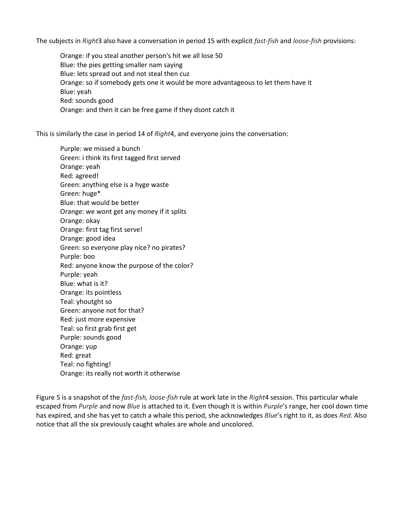The subjects in *Right*3 also have a conversation in period 15 with explicit *fast-fish* and *loose-fish* provisions:

Orange: if you steal another person's hit we all lose 50 Blue: the pies getting smaller nam saying Blue: lets spread out and not steal then cuz Orange: so if somebody gets one it would be more advantageous to let them have it Blue: yeah Red: sounds good Orange: and then it can be free game if they dsont catch it

This is similarly the case in period 14 of *Right*4, and everyone joins the conversation:

Purple: we missed a bunch Green: i think its first tagged first served Orange: yeah Red: agreed! Green: anything else is a hyge waste Green: huge\* Blue: that would be better Orange: we wont get any money if it splits Orange: okay Orange: first tag first serve! Orange: good idea Green: so everyone play nice? no pirates? Purple: boo Red: anyone know the purpose of the color? Purple: yeah Blue: what is it? Orange: its pointless Teal: yhoutght so Green: anyone not for that? Red: just more expensive Teal: so first grab first get Purple: sounds good Orange: yup Red: great Teal: no fighting! Orange: its really not worth it otherwise

Figure 5 is a snapshot of the *fast-fish, loose-fish* rule at work late in the *Right*4 session. This particular whale escaped from *Purple* and now *Blue* is attached to it. Even though it is within *Purple*'s range, her cool down time has expired, and she has yet to catch a whale this period, she acknowledges *Blue*'s right to it, as does *Red*. Also notice that all the six previously caught whales are whole and uncolored.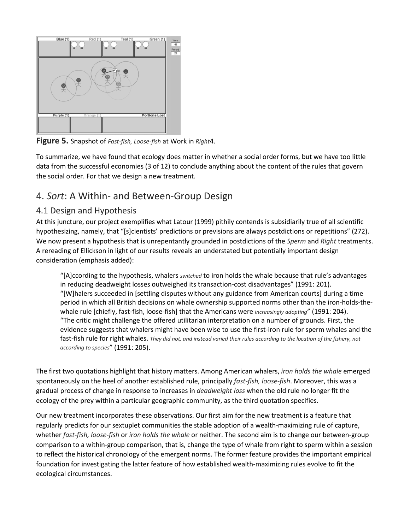

**Figure 5.** Snapshot of *Fast-fish, Loose-fish* at Work in *Right*4.

To summarize, we have found that ecology does matter in whether a social order forms, but we have too little data from the successful economies (3 of 12) to conclude anything about the content of the rules that govern the social order. For that we design a new treatment.

## 4. *Sort*: A Within- and Between-Group Design

#### 4.1 Design and Hypothesis

At this juncture, our project exemplifies what Latour (1999) pithily contends is subsidiarily true of all scientific hypothesizing, namely, that "[s]cientists' predictions or previsions are always postdictions or repetitions" (272). We now present a hypothesis that is unrepentantly grounded in postdictions of the *Sperm* and *Right* treatments. A rereading of Ellickson in light of our results reveals an understated but potentially important design consideration (emphasis added):

"[A]ccording to the hypothesis, whalers *switched* to iron holds the whale because that rule's advantages in reducing deadweight losses outweighed its transaction-cost disadvantages" (1991: 201). "[W]halers succeeded in [settling disputes without any guidance from American courts] during a time period in which all British decisions on whale ownership supported norms other than the iron-holds-thewhale rule [chiefly, fast-fish, loose-fish] that the Americans were *increasingly adopting*" (1991: 204). "The critic might challenge the offered utilitarian interpretation on a number of grounds. First, the evidence suggests that whalers might have been wise to use the first-iron rule for sperm whales and the fast-fish rule for right whales. They did not, and instead varied their rules according to the location of the fishery, not *according to species*" (1991: 205).

The first two quotations highlight that history matters. Among American whalers, *iron holds the whale* emerged spontaneously on the heel of another established rule, principally *fast-fish, loose-fish*. Moreover, this was a gradual process of change in response to increases in *deadweight loss* when the old rule no longer fit the ecology of the prey within a particular geographic community, as the third quotation specifies.

Our new treatment incorporates these observations. Our first aim for the new treatment is a feature that regularly predicts for our sextuplet communities the stable adoption of a wealth-maximizing rule of capture, whether *fast-fish, loose-fish* or *iron holds the whale* or neither. The second aim is to change our between-group comparison to a within-group comparison, that is, change the type of whale from right to sperm within a session to reflect the historical chronology of the emergent norms. The former feature provides the important empirical foundation for investigating the latter feature of how established wealth-maximizing rules evolve to fit the ecological circumstances.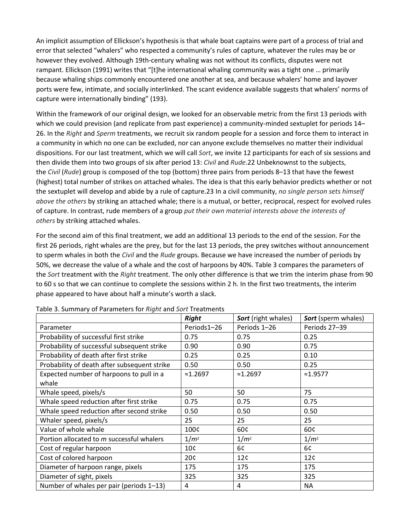An implicit assumption of Ellickson's hypothesis is that whale boat captains were part of a process of trial and error that selected "whalers" who respected a community's rules of capture, whatever the rules may be or however they evolved. Although 19th-century whaling was not without its conflicts, disputes were not rampant. Ellickson (1991) writes that "[t]he international whaling community was a tight one … primarily because whaling ships commonly encountered one another at sea, and because whalers' home and layover ports were few, intimate, and socially interlinked. The scant evidence available suggests that whalers' norms of capture were internationally binding" (193).

Within the framework of our original design, we looked for an observable metric from the first 13 periods with which we could prevision (and replicate from past experience) a community-minded sextuplet for periods 14– 26. In the *Right* and *Sperm* treatments, we recruit six random people for a session and force them to interact in a community in which no one can be excluded, nor can anyone exclude themselves no matter their individual dispositions. For our last treatment, which we will call *Sort*, we invite 12 participants for each of six sessions and then divide them into two groups of six after period 13: *Civil* and *Rude*.22 Unbeknownst to the subjects, the *Civil* (*Rude*) group is composed of the top (bottom) three pairs from periods 8–13 that have the fewest (highest) total number of strikes on attached whales. The idea is that this early behavior predicts whether or not the sextuplet will develop and abide by a rule of capture.23 In a civil community, *no single person sets himself above the others* by striking an attached whale; there is a mutual, or better, reciprocal, respect for evolved rules of capture. In contrast, rude members of a group *put their own material interests above the interests of others* by striking attached whales.

For the second aim of this final treatment, we add an additional 13 periods to the end of the session. For the first 26 periods, right whales are the prey, but for the last 13 periods, the prey switches without announcement to sperm whales in both the *Civil* and the *Rude* groups. Because we have increased the number of periods by 50%, we decrease the value of a whale and the cost of harpoons by 40%. Table 3 compares the parameters of the *Sort* treatment with the *Right* treatment. The only other difference is that we trim the interim phase from 90 to 60 s so that we can continue to complete the sessions within 2 h. In the first two treatments, the interim phase appeared to have about half a minute's worth a slack.

|                                                  | <b>Right</b>     | <b>Sort</b> (right whales) | <b>Sort</b> (sperm whales) |
|--------------------------------------------------|------------------|----------------------------|----------------------------|
| Parameter                                        | Periods1-26      | Periods 1-26               | Periods 27-39              |
| Probability of successful first strike           | 0.75             | 0.75                       | 0.25                       |
| Probability of successful subsequent strike      | 0.90             | 0.90                       | 0.75                       |
| Probability of death after first strike          | 0.25             | 0.25                       | 0.10                       |
| Probability of death after subsequent strike     | 0.50             | 0.50                       | 0.25                       |
| Expected number of harpoons to pull in a         | $\approx$ 1.2697 | $\approx 1.2697$           | $\approx 1.9577$           |
| whale                                            |                  |                            |                            |
| Whale speed, pixels/s                            | 50               | 50                         | 75                         |
| Whale speed reduction after first strike         | 0.75             | 0.75                       | 0.75                       |
| Whale speed reduction after second strike        | 0.50             | 0.50                       | 0.50                       |
| Whaler speed, pixels/s                           | 25               | 25                         | 25                         |
| Value of whole whale                             | 100¢             | 60¢                        | 60¢                        |
| Portion allocated to <i>m</i> successful whalers | 1/m <sup>2</sup> | 1/m <sup>2</sup>           | 1/m <sup>2</sup>           |
| Cost of regular harpoon                          | 10¢              | 6¢                         | 6¢                         |
| Cost of colored harpoon                          | 20¢              | 12c                        | 12c                        |
| Diameter of harpoon range, pixels                | 175              | 175                        | 175                        |
| Diameter of sight, pixels                        | 325              | 325                        | 325                        |
| Number of whales per pair (periods 1-13)         | 4                | 4                          | <b>NA</b>                  |

Table 3. Summary of Parameters for *Right* and *Sort* Treatments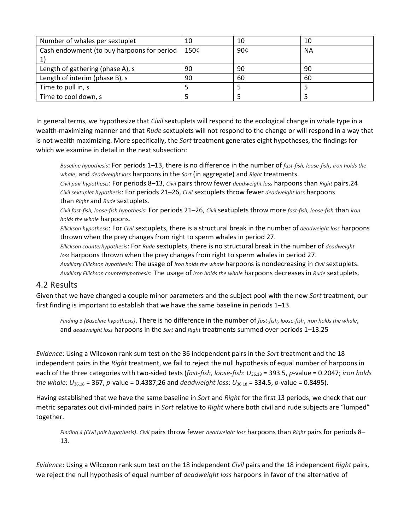| Number of whales per sextuplet             | 10   | 10  | 10        |
|--------------------------------------------|------|-----|-----------|
| Cash endowment (to buy harpoons for period | 150¢ | 90¢ | <b>NA</b> |
|                                            |      |     |           |
| Length of gathering (phase A), s           | 90   | 90  | 90        |
| Length of interim (phase B), s             | 90   | 60  | 60        |
| Time to pull in, s                         |      |     |           |
| Time to cool down, s                       |      |     |           |

In general terms, we hypothesize that *Civil* sextuplets will respond to the ecological change in whale type in a wealth-maximizing manner and that *Rude* sextuplets will not respond to the change or will respond in a way that is not wealth maximizing. More specifically, the *Sort* treatment generates eight hypotheses, the findings for which we examine in detail in the next subsection:

*Baseline hypothesis*: For periods 1–13, there is no difference in the number of *fast-fish, loose-fish*, *iron holds the whale*, and *deadweight loss* harpoons in the *Sort* (in aggregate) and *Right* treatments.

*Civil pair hypothesis*: For periods 8–13, *Civil* pairs throw fewer *deadweight loss* harpoons than *Right* pairs.24 *Civil sextuplet hypothesis*: For periods 21–26, *Civil* sextuplets throw fewer *deadweight loss* harpoons than *Right* and *Rude* sextuplets.

*Civil fast-fish, loose-fish hypothesis*: For periods 21–26, *Civil* sextuplets throw more *fast-fish, loose-fish* than *iron holds the whale* harpoons.

*Ellickson hypothesis*: For *Civil* sextuplets, there is a structural break in the number of *deadweight loss* harpoons thrown when the prey changes from right to sperm whales in period 27.

*Ellickson counterhypothesis*: For *Rude* sextuplets, there is no structural break in the number of *deadweight loss* harpoons thrown when the prey changes from right to sperm whales in period 27.

*Auxiliary Ellickson hypothesis*: The usage of *iron holds the whale* harpoons is nondecreasing in *Civil* sextuplets. *Auxiliary Ellickson counterhypothesis*: The usage of *iron holds the whale* harpoons decreases in *Rude* sextuplets.

#### 4.2 Results

Given that we have changed a couple minor parameters and the subject pool with the new *Sort* treatment, our first finding is important to establish that we have the same baseline in periods 1–13.

*Finding 3 (Baseline hypothesis)*. There is no difference in the number of *fast-fish, loose-fish*, *iron holds the whale*, and *deadweight loss* harpoons in the *Sort* and *Right* treatments summed over periods 1–13.25

*Evidence*: Using a Wilcoxon rank sum test on the 36 independent pairs in the *Sort* treatment and the 18 independent pairs in the *Right* treatment, we fail to reject the null hypothesis of equal number of harpoons in each of the three categories with two-sided tests (*fast-fish, loose-fish*: *U*36,18 = 393.5, *p*-value = 0.2047; *iron holds the whale*: *U*36,18 = 367, *p*-value = 0.4387;26 and *deadweight loss*: *U*36,18 = 334.5, *p*-value = 0.8495).

Having established that we have the same baseline in *Sort* and *Right* for the first 13 periods, we check that our metric separates out civil-minded pairs in *Sort* relative to *Right* where both civil and rude subjects are "lumped" together.

*Finding 4 (Civil pair hypothesis)*. *Civil* pairs throw fewer *deadweight loss* harpoons than *Right* pairs for periods 8– 13.

*Evidence*: Using a Wilcoxon rank sum test on the 18 independent *Civil* pairs and the 18 independent *Right* pairs, we reject the null hypothesis of equal number of *deadweight loss* harpoons in favor of the alternative of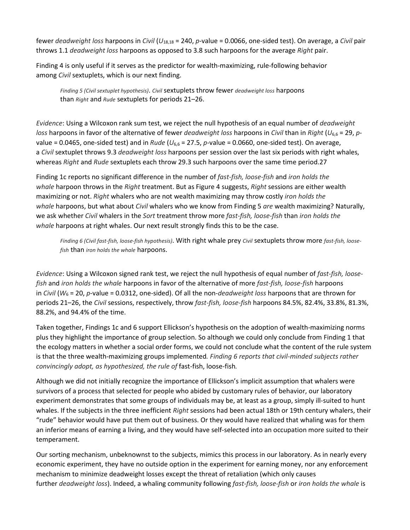fewer *deadweight loss* harpoons in *Civil* (*U*18,18 = 240, *p*-value = 0.0066, one-sided test). On average, a *Civil* pair throws 1.1 *deadweight loss* harpoons as opposed to 3.8 such harpoons for the average *Right* pair.

Finding 4 is only useful if it serves as the predictor for wealth-maximizing, rule-following behavior among *Civil* sextuplets, which is our next finding.

*Finding 5 (Civil sextuplet hypothesis)*. *Civil* sextuplets throw fewer *deadweight loss* harpoons than *Right* and *Rude* sextuplets for periods 21–26.

*Evidence*: Using a Wilcoxon rank sum test, we reject the null hypothesis of an equal number of *deadweight loss* harpoons in favor of the alternative of fewer *deadweight loss* harpoons in *Civil* than in *Right* (*U*6,6 = 29, *p*value = 0.0465, one-sided test) and in *Rude* (*U*6,6 = 27.5, *p*-value = 0.0660, one-sided test). On average, a *Civil* sextuplet throws 9.3 *deadweight loss* harpoons per session over the last six periods with right whales, whereas *Right* and *Rude* sextuplets each throw 29.3 such harpoons over the same time period.27

Finding 1c reports no significant difference in the number of *fast-fish, loose-fish* and *iron holds the whale* harpoon throws in the *Right* treatment. But as Figure 4 suggests, *Right* sessions are either wealth maximizing or not. *Right* whalers who are not wealth maximizing may throw costly *iron holds the whale* harpoons, but what about *Civil* whalers who we know from Finding 5 *are* wealth maximizing? Naturally, we ask whether *Civil* whalers in the *Sort* treatment throw more *fast-fish, loose-fish* than *iron holds the whale* harpoons at right whales. Our next result strongly finds this to be the case.

*Finding 6 (Civil fast-fish, loose-fish hypothesis)*. With right whale prey *Civil* sextuplets throw more *fast-fish, loosefish* than *iron holds the whale* harpoons.

*Evidence*: Using a Wilcoxon signed rank test, we reject the null hypothesis of equal number of *fast-fish, loosefish* and *iron holds the whale* harpoons in favor of the alternative of more *fast-fish, loose-fish* harpoons in *Civil* (*W*<sup>6</sup> = 20, *p*-value = 0.0312, one-sided). Of all the non-*deadweight loss* harpoons that are thrown for periods 21–26, the *Civil* sessions, respectively, throw *fast-fish, loose-fish* harpoons 84.5%, 82.4%, 33.8%, 81.3%, 88.2%, and 94.4% of the time.

Taken together, Findings 1c and 6 support Ellickson's hypothesis on the adoption of wealth-maximizing norms plus they highlight the importance of group selection. So although we could only conclude from Finding 1 that the ecology matters in whether a social order forms, we could not conclude what the content of the rule system is that the three wealth-maximizing groups implemented*. Finding 6 reports that civil-minded subjects rather convincingly adopt, as hypothesized, the rule of* fast-fish, loose-fish*.*

Although we did not initially recognize the importance of Ellickson's implicit assumption that whalers were survivors of a process that selected for people who abided by customary rules of behavior, our laboratory experiment demonstrates that some groups of individuals may be, at least as a group, simply ill-suited to hunt whales. If the subjects in the three inefficient *Right* sessions had been actual 18th or 19th century whalers, their "rude" behavior would have put them out of business. Or they would have realized that whaling was for them an inferior means of earning a living, and they would have self-selected into an occupation more suited to their temperament.

Our sorting mechanism, unbeknownst to the subjects, mimics this process in our laboratory. As in nearly every economic experiment, they have no outside option in the experiment for earning money, nor any enforcement mechanism to minimize deadweight losses except the threat of retaliation (which only causes further *deadweight loss*). Indeed, a whaling community following *fast-fish, loose-fish* or *iron holds the whale* is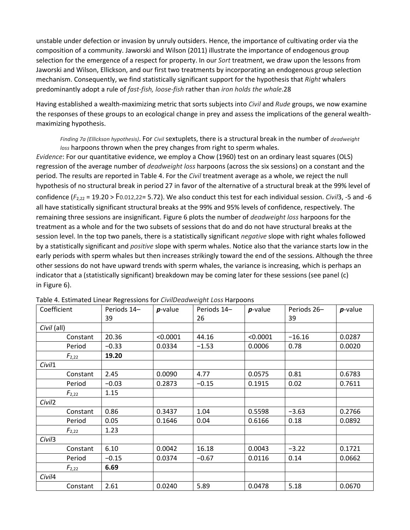unstable under defection or invasion by unruly outsiders. Hence, the importance of cultivating order via the composition of a community. Jaworski and Wilson (2011) illustrate the importance of endogenous group selection for the emergence of a respect for property. In our *Sort* treatment, we draw upon the lessons from Jaworski and Wilson, Ellickson, and our first two treatments by incorporating an endogenous group selection mechanism. Consequently, we find statistically significant support for the hypothesis that *Right* whalers predominantly adopt a rule of *fast-fish, loose-fish* rather than *iron holds the whale*.28

Having established a wealth-maximizing metric that sorts subjects into *Civil* and *Rude* groups, we now examine the responses of these groups to an ecological change in prey and assess the implications of the general wealthmaximizing hypothesis.

*Finding 7a (Ellickson hypothesis)*. For *Civil* sextuplets, there is a structural break in the number of *deadweight loss* harpoons thrown when the prey changes from right to sperm whales.

*Evidence*: For our quantitative evidence, we employ a Chow (1960) test on an ordinary least squares (OLS) regression of the average number of *deadweight loss* harpoons (across the six sessions) on a constant and the period. The results are reported in Table 4. For the *Civil* treatment average as a whole, we reject the null hypothesis of no structural break in period 27 in favor of the alternative of a structural break at the 99% level of confidence (*F*2,22 = 19.20 > F0.012,22= 5.72). We also conduct this test for each individual session. *Civil*3, -5 and -6 all have statistically significant structural breaks at the 99% and 95% levels of confidence, respectively. The remaining three sessions are insignificant. Figure 6 plots the number of *deadweight loss* harpoons for the treatment as a whole and for the two subsets of sessions that do and do not have structural breaks at the session level. In the top two panels, there is a statistically significant *negative* slope with right whales followed by a statistically significant and *positive* slope with sperm whales. Notice also that the variance starts low in the early periods with sperm whales but then increases strikingly toward the end of the sessions. Although the three other sessions do not have upward trends with sperm whales, the variance is increasing, which is perhaps an indicator that a (statistically significant) breakdown may be coming later for these sessions (see panel (c) in Figure 6).

| Coefficient        | Periods 14- | $p$ -value | Periods 14- | $p$ -value | Periods 26- | $p$ -value |
|--------------------|-------------|------------|-------------|------------|-------------|------------|
|                    | 39          |            | 26          |            | 39          |            |
| Civil (all)        |             |            |             |            |             |            |
| Constant           | 20.36       | < 0.0001   | 44.16       | < 0.0001   | $-16.16$    | 0.0287     |
| Period             | $-0.33$     | 0.0334     | $-1.53$     | 0.0006     | 0.78        | 0.0020     |
| $F_{2,22}$         | 19.20       |            |             |            |             |            |
| Civil1             |             |            |             |            |             |            |
| Constant           | 2.45        | 0.0090     | 4.77        | 0.0575     | 0.81        | 0.6783     |
| Period             | $-0.03$     | 0.2873     | $-0.15$     | 0.1915     | 0.02        | 0.7611     |
| $F_{2,22}$         | 1.15        |            |             |            |             |            |
| Civil <sub>2</sub> |             |            |             |            |             |            |
| Constant           | 0.86        | 0.3437     | 1.04        | 0.5598     | $-3.63$     | 0.2766     |
| Period             | 0.05        | 0.1646     | 0.04        | 0.6166     | 0.18        | 0.0892     |
| $F_{2,22}$         | 1.23        |            |             |            |             |            |
| Civil <sub>3</sub> |             |            |             |            |             |            |
| Constant           | 6.10        | 0.0042     | 16.18       | 0.0043     | $-3.22$     | 0.1721     |
| Period             | $-0.15$     | 0.0374     | $-0.67$     | 0.0116     | 0.14        | 0.0662     |
| $F_{2,22}$         | 6.69        |            |             |            |             |            |
| Civil <sub>4</sub> |             |            |             |            |             |            |
| Constant           | 2.61        | 0.0240     | 5.89        | 0.0478     | 5.18        | 0.0670     |

Table 4. Estimated Linear Regressions for *CivilDeadweight Loss* Harpoons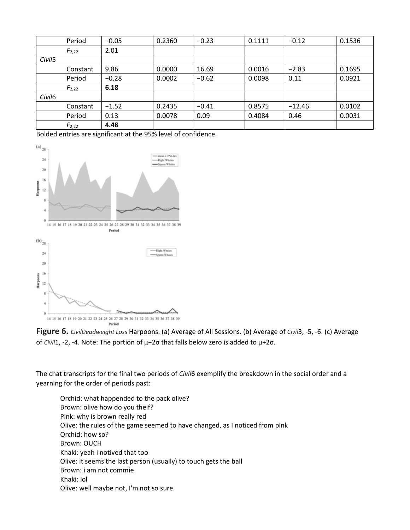|                    | Period            | $-0.05$ | 0.2360 | $-0.23$ | 0.1111 | $-0.12$  | 0.1536 |
|--------------------|-------------------|---------|--------|---------|--------|----------|--------|
|                    | $F_{2,22}$        | 2.01    |        |         |        |          |        |
| Civil <sub>5</sub> |                   |         |        |         |        |          |        |
|                    | Constant          | 9.86    | 0.0000 | 16.69   | 0.0016 | $-2.83$  | 0.1695 |
|                    | Period            | $-0.28$ | 0.0002 | $-0.62$ | 0.0098 | 0.11     | 0.0921 |
|                    | F <sub>2,22</sub> | 6.18    |        |         |        |          |        |
| Civil <sub>6</sub> |                   |         |        |         |        |          |        |
|                    | Constant          | $-1.52$ | 0.2435 | $-0.41$ | 0.8575 | $-12.46$ | 0.0102 |
|                    | Period            | 0.13    | 0.0078 | 0.09    | 0.4084 | 0.46     | 0.0031 |
|                    | F <sub>2,22</sub> | 4.48    |        |         |        |          |        |

Bolded entries are significant at the 95% level of confidence.





The chat transcripts for the final two periods of *Civil*6 exemplify the breakdown in the social order and a yearning for the order of periods past:

Orchid: what happended to the pack olive? Brown: olive how do you theif? Pink: why is brown really red Olive: the rules of the game seemed to have changed, as I noticed from pink Orchid: how so? Brown: OUCH Khaki: yeah i notived that too Olive: it seems the last person (usually) to touch gets the ball Brown: i am not commie Khaki: lol Olive: well maybe not, I'm not so sure.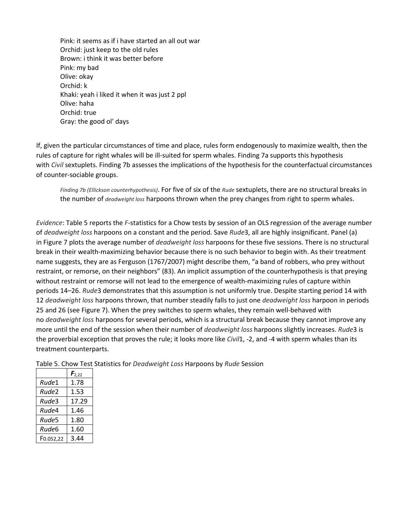Pink: it seems as if i have started an all out war Orchid: just keep to the old rules Brown: i think it was better before Pink: my bad Olive: okay Orchid: k Khaki: yeah i liked it when it was just 2 ppl Olive: haha Orchid: true Gray: the good ol' days

If, given the particular circumstances of time and place, rules form endogenously to maximize wealth, then the rules of capture for right whales will be ill-suited for sperm whales. Finding 7a supports this hypothesis with *Civil* sextuplets. Finding 7b assesses the implications of the hypothesis for the counterfactual circumstances of counter-sociable groups.

*Finding 7b (Ellickson counterhypothesis)*. For five of six of the *Rude* sextuplets, there are no structural breaks in the number of *deadweight loss* harpoons thrown when the prey changes from right to sperm whales.

*Evidence*: Table 5 reports the *F*-statistics for a Chow tests by session of an OLS regression of the average number of *deadweight loss* harpoons on a constant and the period. Save *Rude*3, all are highly insignificant. Panel (a) in Figure 7 plots the average number of *deadweight loss* harpoons for these five sessions. There is no structural break in their wealth-maximizing behavior because there is no such behavior to begin with. As their treatment name suggests, they are as Ferguson (1767/2007) might describe them, "a band of robbers, who prey without restraint, or remorse, on their neighbors" (83). An implicit assumption of the counterhypothesis is that preying without restraint or remorse will not lead to the emergence of wealth-maximizing rules of capture within periods 14–26. *Rude*3 demonstrates that this assumption is not uniformly true. Despite starting period 14 with 12 *deadweight loss* harpoons thrown, that number steadily falls to just one *deadweight loss* harpoon in periods 25 and 26 (see Figure 7). When the prey switches to sperm whales, they remain well-behaved with no *deadweight loss* harpoons for several periods, which is a structural break because they cannot improve any more until the end of the session when their number of *deadweight loss* harpoons slightly increases. *Rude*3 is the proverbial exception that proves the rule; it looks more like *Civil*1, -2, and -4 with sperm whales than its treatment counterparts.

Table 5. Chow Test Statistics for *Deadweight Loss* Harpoons by *Rude* Session

|           | $F_{2,22}$ |
|-----------|------------|
| Rude1     | 1.78       |
| Rude2     | 1.53       |
| Rude3     | 17.29      |
| Rude4     | 1.46       |
| Rude5     | 1.80       |
| Rude6     | 1.60       |
| F0.052.22 | 3.44       |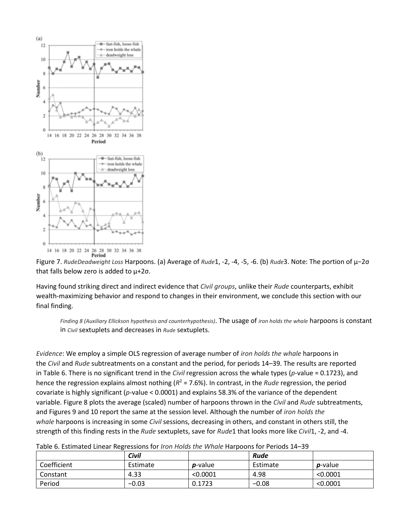

Figure 7. *RudeDeadweight Loss* Harpoons. (a) Average of *Rude*1, -2, -4, -5, -6. (b) *Rude*3. Note: The portion of μ−2σ that falls below zero is added to μ+2σ.

Having found striking direct and indirect evidence that *Civil groups*, unlike their *Rude* counterparts, exhibit wealth-maximizing behavior and respond to changes in their environment, we conclude this section with our final finding.

*Finding 8 (Auxiliary Ellickson hypothesis and counterhypothesis)*. The usage of *iron holds the whale* harpoons is constant in *Civil* sextuplets and decreases in *Rude* sextuplets.

*Evidence*: We employ a simple OLS regression of average number of *iron holds the whale* harpoons in the *Civil* and *Rude* subtreatments on a constant and the period, for periods 14–39. The results are reported in Table 6. There is no significant trend in the *Civil* regression across the whale types (*p*-value = 0.1723), and hence the regression explains almost nothing ( $R^2$  = 7.6%). In contrast, in the *Rude* regression, the period covariate is highly significant (*p*-value < 0.0001) and explains 58.3% of the variance of the dependent variable. Figure 8 plots the average (scaled) number of harpoons thrown in the *Civil* and *Rude* subtreatments, and Figures 9 and 10 report the same at the session level. Although the number of *iron holds the whale* harpoons is increasing in some *Civil* sessions, decreasing in others, and constant in others still, the strength of this finding rests in the *Rude* sextuplets, save for *Rude*1 that looks more like *Civil*1, -2, and -4.

|  |  | Table 6. Estimated Linear Regressions for Iron Holds the Whale Harpoons for Periods 14-39 |
|--|--|-------------------------------------------------------------------------------------------|
|--|--|-------------------------------------------------------------------------------------------|

|             | Civil    |                 | <b>Rude</b> |                 |
|-------------|----------|-----------------|-------------|-----------------|
| Coefficient | Estimate | <b>p</b> -value | Estimate    | <b>p</b> -value |
| Constant    | 4.33     | < 0.0001        | 4.98        | < 0.0001        |
| Period      | $-0.03$  | 0.1723          | $-0.08$     | < 0.0001        |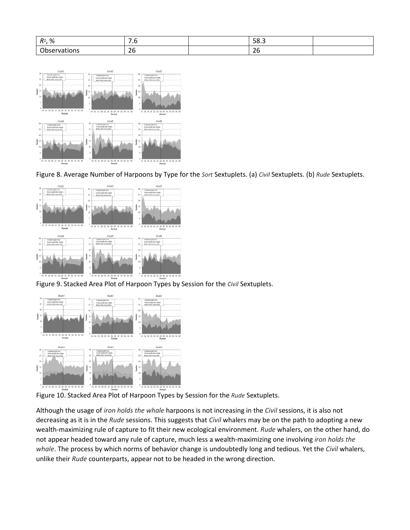| $R^2$<br>%                  | _<br>. .     | $ \sim$<br>. .<br>30.J |  |
|-----------------------------|--------------|------------------------|--|
| $\sim$ $\sim$<br>$V -$<br>. | $\sim$<br>20 | $\sim$<br>້            |  |



Figure 8. Average Number of Harpoons by Type for the *Sort* Sextuplets. (a) *Civil* Sextuplets. (b) *Rude* Sextuplets.



Figure 9. Stacked Area Plot of Harpoon Types by Session for the *Civil* Sextuplets.



Figure 10. Stacked Area Plot of Harpoon Types by Session for the *Rude* Sextuplets.

Although the usage of *iron holds the whale* harpoons is not increasing in the *Civil* sessions, it is also not decreasing as it is in the *Rude* sessions. This suggests that *Civil* whalers may be on the path to adopting a new wealth-maximizing rule of capture to fit their new ecological environment. *Rude* whalers, on the other hand, do not appear headed toward any rule of capture, much less a wealth-maximizing one involving *iron holds the whale*. The process by which norms of behavior change is undoubtedly long and tedious. Yet the *Civil* whalers, unlike their *Rude* counterparts, appear not to be headed in the wrong direction.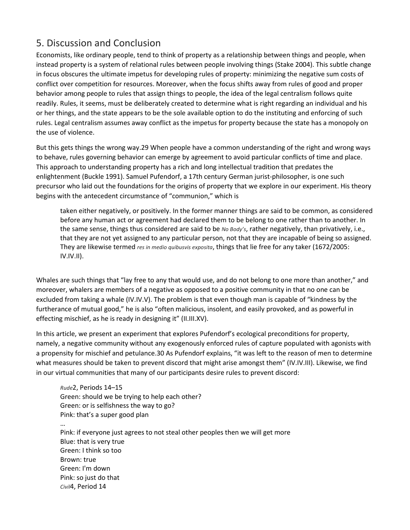## 5. Discussion and Conclusion

Economists, like ordinary people, tend to think of property as a relationship between things and people, when instead property is a system of relational rules between people involving things (Stake 2004). This subtle change in focus obscures the ultimate impetus for developing rules of property: minimizing the negative sum costs of conflict over competition for resources. Moreover, when the focus shifts away from rules of good and proper behavior among people to rules that assign things to people, the idea of the legal centralism follows quite readily. Rules, it seems, must be deliberately created to determine what is right regarding an individual and his or her things, and the state appears to be the sole available option to do the instituting and enforcing of such rules. Legal centralism assumes away conflict as the impetus for property because the state has a monopoly on the use of violence.

But this gets things the wrong way.29 When people have a common understanding of the right and wrong ways to behave, rules governing behavior can emerge by agreement to avoid particular conflicts of time and place. This approach to understanding property has a rich and long intellectual tradition that predates the enlightenment (Buckle 1991). Samuel Pufendorf, a 17th century German jurist-philosopher, is one such precursor who laid out the foundations for the origins of property that we explore in our experiment. His theory begins with the antecedent circumstance of "communion," which is

taken either negatively, or positively. In the former manner things are said to be common, as considered before any human act or agreement had declared them to be belong to one rather than to another. In the same sense, things thus considered are said to be *No Body's*, rather negatively, than privatively, i.e., that they are not yet assigned to any particular person, not that they are incapable of being so assigned. They are likewise termed *res in medio quibusvis exposita*, things that lie free for any taker (1672/2005: IV.IV.II).

Whales are such things that "lay free to any that would use, and do not belong to one more than another," and moreover, whalers are members of a negative as opposed to a positive community in that no one can be excluded from taking a whale (IV.IV.V). The problem is that even though man is capable of "kindness by the furtherance of mutual good," he is also "often malicious, insolent, and easily provoked, and as powerful in effecting mischief, as he is ready in designing it" (II.III.XV).

In this article, we present an experiment that explores Pufendorf's ecological preconditions for property, namely, a negative community without any exogenously enforced rules of capture populated with agonists with a propensity for mischief and petulance.30 As Pufendorf explains, "it was left to the reason of men to determine what measures should be taken to prevent discord that might arise amongst them" (IV.IV.III). Likewise, we find in our virtual communities that many of our participants desire rules to prevent discord:

*Rude*2, Periods 14–15 Green: should we be trying to help each other? Green: or is selfishness the way to go? Pink: that's a super good plan … Pink: if everyone just agrees to not steal other peoples then we will get more Blue: that is very true Green: I think so too Brown: true Green: I'm down Pink: so just do that *Civil*4, Period 14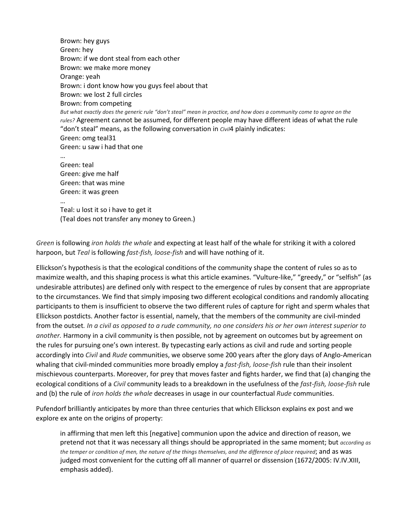Brown: hey guys Green: hey Brown: if we dont steal from each other Brown: we make more money Orange: yeah Brown: i dont know how you guys feel about that Brown: we lost 2 full circles Brown: from competing But what exactly does the generic rule "don't steal" mean in practice, and how does a community come to agree on the *rules?* Agreement cannot be assumed, for different people may have different ideas of what the rule "don't steal" means, as the following conversation in *Civil*4 plainly indicates: Green: omg teal31 Green: u saw i had that one … Green: teal Green: give me half Green: that was mine Green: it was green … Teal: u lost it so i have to get it (Teal does not transfer any money to Green.)

*Green* is following *iron holds the whale* and expecting at least half of the whale for striking it with a colored harpoon, but *Teal* is following *fast-fish, loose-fish* and will have nothing of it.

Ellickson's hypothesis is that the ecological conditions of the community shape the content of rules so as to maximize wealth, and this shaping process is what this article examines. "Vulture-like," "greedy," or "selfish" (as undesirable attributes) are defined only with respect to the emergence of rules by consent that are appropriate to the circumstances. We find that simply imposing two different ecological conditions and randomly allocating participants to them is insufficient to observe the two different rules of capture for right and sperm whales that Ellickson postdicts. Another factor is essential, namely, that the members of the community are civil-minded from the outset. In a civil as opposed to a rude community, no one considers his or her own interest superior to *another.* Harmony in a civil community is then possible, not by agreement on outcomes but by agreement on the rules for pursuing one's own interest. By typecasting early actions as civil and rude and sorting people accordingly into *Civil* and *Rude* communities, we observe some 200 years after the glory days of Anglo-American whaling that civil-minded communities more broadly employ a *fast-fish, loose-fish* rule than their insolent mischievous counterparts. Moreover, for prey that moves faster and fights harder, we find that (a) changing the ecological conditions of a *Civil* community leads to a breakdown in the usefulness of the *fast-fish, loose-fish* rule and (b) the rule of *iron holds the whale* decreases in usage in our counterfactual *Rude* communities.

Pufendorf brilliantly anticipates by more than three centuries that which Ellickson explains ex post and we explore ex ante on the origins of property:

in affirming that men left this [negative] communion upon the advice and direction of reason, we pretend not that it was necessary all things should be appropriated in the same moment; but *according as* the temper or condition of men, the nature of the things themselves, and the difference of place required; and as was judged most convenient for the cutting off all manner of quarrel or dissension (1672/2005: IV.IV.XIII, emphasis added).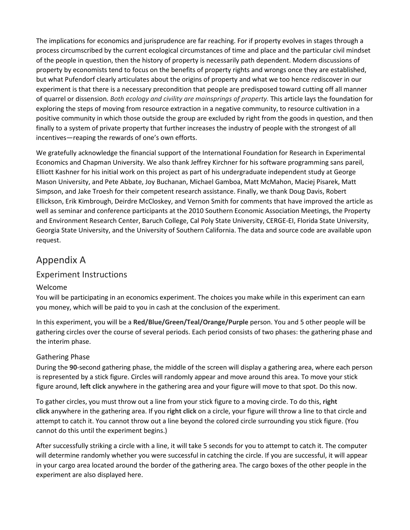The implications for economics and jurisprudence are far reaching. For if property evolves in stages through a process circumscribed by the current ecological circumstances of time and place and the particular civil mindset of the people in question, then the history of property is necessarily path dependent. Modern discussions of property by economists tend to focus on the benefits of property rights and wrongs once they are established, but what Pufendorf clearly articulates about the origins of property and what we too hence *re*discover in our experiment is that there is a necessary precondition that people are predisposed toward cutting off all manner of quarrel or dissension. *Both ecology and civility are mainsprings of property.* This article lays the foundation for exploring the steps of moving from resource extraction in a negative community, to resource cultivation in a positive community in which those outside the group are excluded by right from the goods in question, and then finally to a system of private property that further increases the industry of people with the strongest of all incentives—reaping the rewards of one's own efforts.

We gratefully acknowledge the financial support of the International Foundation for Research in Experimental Economics and Chapman University. We also thank Jeffrey Kirchner for his software programming sans pareil, Elliott Kashner for his initial work on this project as part of his undergraduate independent study at George Mason University, and Pete Abbate, Joy Buchanan, Michael Gamboa, Matt McMahon, Maciej Pisarek, Matt Simpson, and Jake Troesh for their competent research assistance. Finally, we thank Doug Davis, Robert Ellickson, Erik Kimbrough, Deirdre McCloskey, and Vernon Smith for comments that have improved the article as well as seminar and conference participants at the 2010 Southern Economic Association Meetings, the Property and Environment Research Center, Baruch College, Cal Poly State University, CERGE-EI, Florida State University, Georgia State University, and the University of Southern California. The data and source code are available upon request.

## Appendix A

#### Experiment Instructions

#### Welcome

You will be participating in an economics experiment. The choices you make while in this experiment can earn you money, which will be paid to you in cash at the conclusion of the experiment.

In this experiment, you will be a **Red/Blue/Green/Teal/Orange/Purple** person. You and 5 other people will be gathering circles over the course of several periods. Each period consists of two phases: the gathering phase and the interim phase.

#### Gathering Phase

During the **90**-second gathering phase, the middle of the screen will display a gathering area, where each person is represented by a stick figure. Circles will randomly appear and move around this area. To move your stick figure around, **left click** anywhere in the gathering area and your figure will move to that spot. Do this now.

To gather circles, you must throw out a line from your stick figure to a moving circle. To do this, **right click** anywhere in the gathering area. If you **right click** on a circle, your figure will throw a line to that circle and attempt to catch it. You cannot throw out a line beyond the colored circle surrounding you stick figure. (You cannot do this until the experiment begins.)

After successfully striking a circle with a line, it will take 5 seconds for you to attempt to catch it. The computer will determine randomly whether you were successful in catching the circle. If you are successful, it will appear in your cargo area located around the border of the gathering area. The cargo boxes of the other people in the experiment are also displayed here.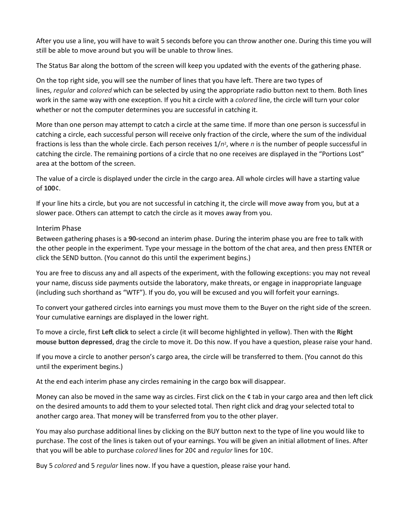After you use a line, you will have to wait 5 seconds before you can throw another one. During this time you will still be able to move around but you will be unable to throw lines.

The Status Bar along the bottom of the screen will keep you updated with the events of the gathering phase.

On the top right side, you will see the number of lines that you have left. There are two types of lines, *regular* and *colored* which can be selected by using the appropriate radio button next to them. Both lines work in the same way with one exception. If you hit a circle with a *colored* line, the circle will turn your color whether or not the computer determines you are successful in catching it.

More than one person may attempt to catch a circle at the same time. If more than one person is successful in catching a circle, each successful person will receive only fraction of the circle, where the sum of the individual fractions is less than the whole circle. Each person receives 1/*n*2, where *n* is the number of people successful in catching the circle. The remaining portions of a circle that no one receives are displayed in the "Portions Lost" area at the bottom of the screen.

The value of a circle is displayed under the circle in the cargo area. All whole circles will have a starting value of **100**¢.

If your line hits a circle, but you are not successful in catching it, the circle will move away from you, but at a slower pace. Others can attempt to catch the circle as it moves away from you.

#### Interim Phase

Between gathering phases is a **90-**second an interim phase. During the interim phase you are free to talk with the other people in the experiment. Type your message in the bottom of the chat area, and then press ENTER or click the SEND button. (You cannot do this until the experiment begins.)

You are free to discuss any and all aspects of the experiment, with the following exceptions: you may not reveal your name, discuss side payments outside the laboratory, make threats, or engage in inappropriate language (including such shorthand as "WTF"). If you do, you will be excused and you will forfeit your earnings.

To convert your gathered circles into earnings you must move them to the Buyer on the right side of the screen. Your cumulative earnings are displayed in the lower right.

To move a circle, first **Left click** to select a circle (it will become highlighted in yellow). Then with the **Right mouse button depressed**, drag the circle to move it. Do this now. If you have a question, please raise your hand.

If you move a circle to another person's cargo area, the circle will be transferred to them. (You cannot do this until the experiment begins.)

At the end each interim phase any circles remaining in the cargo box will disappear.

Money can also be moved in the same way as circles. First click on the **¢** tab in your cargo area and then left click on the desired amounts to add them to your selected total. Then right click and drag your selected total to another cargo area. That money will be transferred from you to the other player.

You may also purchase additional lines by clicking on the BUY button next to the type of line you would like to purchase. The cost of the lines is taken out of your earnings. You will be given an initial allotment of lines. After that you will be able to purchase *colored* lines for 20¢ and *regular* lines for 10¢.

Buy 5 *colored* and 5 *regular* lines now. If you have a question, please raise your hand.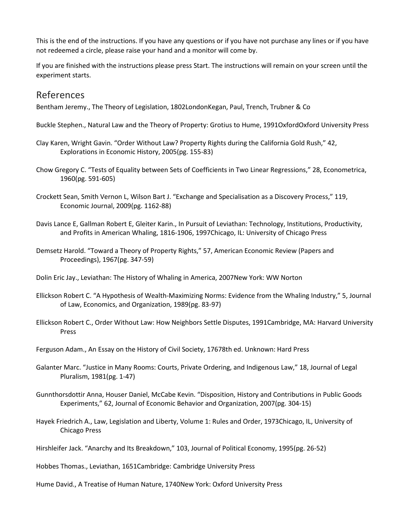This is the end of the instructions. If you have any questions or if you have not purchase any lines or if you have not redeemed a circle, please raise your hand and a monitor will come by.

If you are finished with the instructions please press Start. The instructions will remain on your screen until the experiment starts.

#### References

Bentham Jeremy., The Theory of Legislation, 1802LondonKegan, Paul, Trench, Trubner & Co

Buckle Stephen., Natural Law and the Theory of Property: Grotius to Hume, 1991OxfordOxford University Press

- Clay Karen, Wright Gavin. "Order Without Law? Property Rights during the California Gold Rush," 42, Explorations in Economic History, 2005(pg. 155-83)
- Chow Gregory C. "Tests of Equality between Sets of Coefficients in Two Linear Regressions," 28, Econometrica, 1960(pg. 591-605)
- Crockett Sean, Smith Vernon L, Wilson Bart J. "Exchange and Specialisation as a Discovery Process," 119, Economic Journal, 2009(pg. 1162-88)
- Davis Lance E, Gallman Robert E, Gleiter Karin., In Pursuit of Leviathan: Technology, Institutions, Productivity, and Profits in American Whaling, 1816-1906, 1997Chicago, IL: University of Chicago Press
- Demsetz Harold. "Toward a Theory of Property Rights," 57, American Economic Review (Papers and Proceedings), 1967(pg. 347-59)
- Dolin Eric Jay., Leviathan: The History of Whaling in America, 2007New York: WW Norton
- Ellickson Robert C. "A Hypothesis of Wealth-Maximizing Norms: Evidence from the Whaling Industry," 5, Journal of Law, Economics, and Organization, 1989(pg. 83-97)
- Ellickson Robert C., Order Without Law: How Neighbors Settle Disputes, 1991Cambridge, MA: Harvard University Press
- Ferguson Adam., An Essay on the History of Civil Society, 17678th ed. Unknown: Hard Press
- Galanter Marc. "Justice in Many Rooms: Courts, Private Ordering, and Indigenous Law," 18, Journal of Legal Pluralism, 1981(pg. 1-47)
- Gunnthorsdottir Anna, Houser Daniel, McCabe Kevin. "Disposition, History and Contributions in Public Goods Experiments," 62, Journal of Economic Behavior and Organization, 2007(pg. 304-15)
- Hayek Friedrich A., Law, Legislation and Liberty, Volume 1: Rules and Order, 1973Chicago, IL, University of Chicago Press
- Hirshleifer Jack. "Anarchy and Its Breakdown," 103, Journal of Political Economy, 1995(pg. 26-52)
- Hobbes Thomas., Leviathan, 1651Cambridge: Cambridge University Press
- Hume David., A Treatise of Human Nature, 1740New York: Oxford University Press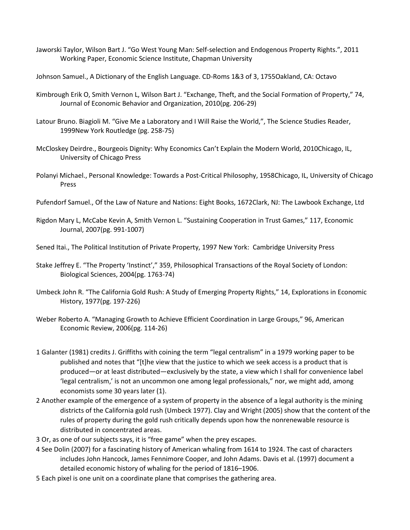- Jaworski Taylor, Wilson Bart J. "Go West Young Man: Self-selection and Endogenous Property Rights.", 2011 Working Paper, Economic Science Institute, Chapman University
- Johnson Samuel., A Dictionary of the English Language. CD-Roms 1&3 of 3, 1755Oakland, CA: Octavo
- Kimbrough Erik O, Smith Vernon L, Wilson Bart J. "Exchange, Theft, and the Social Formation of Property," 74, Journal of Economic Behavior and Organization, 2010(pg. 206-29)
- Latour Bruno. Biagioli M. "Give Me a Laboratory and I Will Raise the World,", The Science Studies Reader, 1999New York Routledge (pg. 258-75)
- McCloskey Deirdre., Bourgeois Dignity: Why Economics Can't Explain the Modern World, 2010Chicago, IL, University of Chicago Press
- Polanyi Michael., Personal Knowledge: Towards a Post-Critical Philosophy, 1958Chicago, IL, University of Chicago Press
- Pufendorf Samuel., Of the Law of Nature and Nations: Eight Books, 1672Clark, NJ: The Lawbook Exchange, Ltd
- Rigdon Mary L, McCabe Kevin A, Smith Vernon L. "Sustaining Cooperation in Trust Games," 117, Economic Journal, 2007(pg. 991-1007)
- Sened Itai., The Political Institution of Private Property, 1997 New York: Cambridge University Press
- Stake Jeffrey E. "The Property 'Instinct'," 359, Philosophical Transactions of the Royal Society of London: Biological Sciences, 2004(pg. 1763-74)
- Umbeck John R. "The California Gold Rush: A Study of Emerging Property Rights," 14, Explorations in Economic History, 1977(pg. 197-226)
- Weber Roberto A. "Managing Growth to Achieve Efficient Coordination in Large Groups," 96, American Economic Review, 2006(pg. 114-26)
- 1 Galanter (1981) credits J. Griffiths with coining the term "legal centralism" in a 1979 working paper to be published and notes that "[t]he view that the justice to which we seek access is a product that is produced—or at least distributed—exclusively by the state, a view which I shall for convenience label 'legal centralism,' is not an uncommon one among legal professionals," nor, we might add, among economists some 30 years later (1).
- 2 Another example of the emergence of a system of property in the absence of a legal authority is the mining districts of the California gold rush (Umbeck 1977). Clay and Wright (2005) show that the content of the rules of property during the gold rush critically depends upon how the nonrenewable resource is distributed in concentrated areas.
- 3 Or, as one of our subjects says, it is "free game" when the prey escapes.
- 4 See Dolin (2007) for a fascinating history of American whaling from 1614 to 1924. The cast of characters includes John Hancock, James Fennimore Cooper, and John Adams. Davis et al. (1997) document a detailed economic history of whaling for the period of 1816–1906.
- 5 Each pixel is one unit on a coordinate plane that comprises the gathering area.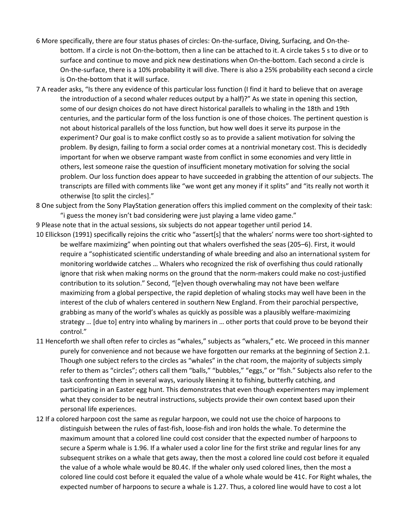- 6 More specifically, there are four status phases of circles: On-the-surface, Diving, Surfacing, and On-thebottom. If a circle is not On-the-bottom, then a line can be attached to it. A circle takes 5 s to dive or to surface and continue to move and pick new destinations when On-the-bottom. Each second a circle is On-the-surface, there is a 10% probability it will dive. There is also a 25% probability each second a circle is On-the-bottom that it will surface.
- 7 A reader asks, "Is there any evidence of this particular loss function (I find it hard to believe that on average the introduction of a second whaler reduces output by a half)?" As we state in opening this section, some of our design choices do not have direct historical parallels to whaling in the 18th and 19th centuries, and the particular form of the loss function is one of those choices. The pertinent question is not about historical parallels of the loss function, but how well does it serve its purpose in the experiment? Our goal is to make conflict costly so as to provide a salient motivation for solving the problem. By design, failing to form a social order comes at a nontrivial monetary cost. This is decidedly important for when we observe rampant waste from conflict in some economies and very little in others, lest someone raise the question of insufficient monetary motivation for solving the social problem. Our loss function does appear to have succeeded in grabbing the attention of our subjects. The transcripts are filled with comments like "we wont get any money if it splits" and "its really not worth it otherwise [to split the circles]."

8 One subject from the Sony PlayStation generation offers this implied comment on the complexity of their task: "i guess the money isn't bad considering were just playing a lame video game."

- 9 Please note that in the actual sessions, six subjects do not appear together until period 14. 10 Ellickson (1991) specifically rejoins the critic who "assert[s] that the whalers' norms were too short-sighted to
	- be welfare maximizing" when pointing out that whalers overfished the seas (205–6). First, it would require a "sophisticated scientific understanding of whale breeding and also an international system for monitoring worldwide catches … Whalers who recognized the risk of overfishing thus could rationally ignore that risk when making norms on the ground that the norm-makers could make no cost-justified contribution to its solution." Second, "[e]ven though overwhaling may not have been welfare maximizing from a global perspective, the rapid depletion of whaling stocks may well have been in the interest of the club of whalers centered in southern New England. From their parochial perspective, grabbing as many of the world's whales as quickly as possible was a plausibly welfare-maximizing strategy … [due to] entry into whaling by mariners in … other ports that could prove to be beyond their control."
- 11 Henceforth we shall often refer to circles as "whales," subjects as "whalers," etc. We proceed in this manner purely for convenience and not because we have forgotten our remarks at the beginning of Section 2.1. Though one subject refers to the circles as "whales" in the chat room, the majority of subjects simply refer to them as "circles"; others call them "balls," "bubbles," "eggs," or "fish." Subjects also refer to the task confronting them in several ways, variously likening it to fishing, butterfly catching, and participating in an Easter egg hunt. This demonstrates that even though experimenters may implement what they consider to be neutral instructions, subjects provide their own context based upon their personal life experiences.
- 12 If a colored harpoon cost the same as regular harpoon, we could not use the choice of harpoons to distinguish between the rules of fast-fish, loose-fish and iron holds the whale. To determine the maximum amount that a colored line could cost consider that the expected number of harpoons to secure a Sperm whale is 1.96. If a whaler used a color line for the first strike and regular lines for any subsequent strikes on a whale that gets away, then the most a colored line could cost before it equaled the value of a whole whale would be 80.4¢. If the whaler only used colored lines, then the most a colored line could cost before it equaled the value of a whole whale would be 41¢. For Right whales, the expected number of harpoons to secure a whale is 1.27. Thus, a colored line would have to cost a lot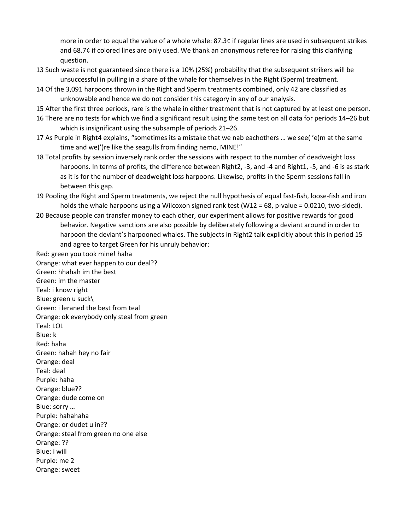more in order to equal the value of a whole whale: 87.3¢ if regular lines are used in subsequent strikes and 68.7¢ if colored lines are only used. We thank an anonymous referee for raising this clarifying question.

- 13 Such waste is not guaranteed since there is a 10% (25%) probability that the subsequent strikers will be unsuccessful in pulling in a share of the whale for themselves in the Right (Sperm) treatment.
- 14 Of the 3,091 harpoons thrown in the Right and Sperm treatments combined, only 42 are classified as unknowable and hence we do not consider this category in any of our analysis.
- 15 After the first three periods, rare is the whale in either treatment that is not captured by at least one person.
- 16 There are no tests for which we find a significant result using the same test on all data for periods 14–26 but which is insignificant using the subsample of periods 21–26.
- 17 As Purple in Right4 explains, "sometimes its a mistake that we nab eachothers … we see( 'e)m at the same time and we(')re like the seagulls from finding nemo, MINE!"
- 18 Total profits by session inversely rank order the sessions with respect to the number of deadweight loss harpoons. In terms of profits, the difference between Right2, -3, and -4 and Right1, -5, and -6 is as stark as it is for the number of deadweight loss harpoons. Likewise, profits in the Sperm sessions fall in between this gap.
- 19 Pooling the Right and Sperm treatments, we reject the null hypothesis of equal fast-fish, loose-fish and iron holds the whale harpoons using a Wilcoxon signed rank test (W12 = 68, p-value = 0.0210, two-sided).
- 20 Because people can transfer money to each other, our experiment allows for positive rewards for good behavior. Negative sanctions are also possible by deliberately following a deviant around in order to harpoon the deviant's harpooned whales. The subjects in Right2 talk explicitly about this in period 15 and agree to target Green for his unruly behavior:

Red: green you took mine! haha Orange: what ever happen to our deal?? Green: hhahah im the best Green: im the master Teal: i know right Blue: green u suck\ Green: i leraned the best from teal Orange: ok everybody only steal from green Teal: LOL Blue: k Red: haha Green: hahah hey no fair Orange: deal Teal: deal Purple: haha Orange: blue?? Orange: dude come on Blue: sorry … Purple: hahahaha Orange: or dudet u in?? Orange: steal from green no one else Orange: ?? Blue: i will Purple: me 2 Orange: sweet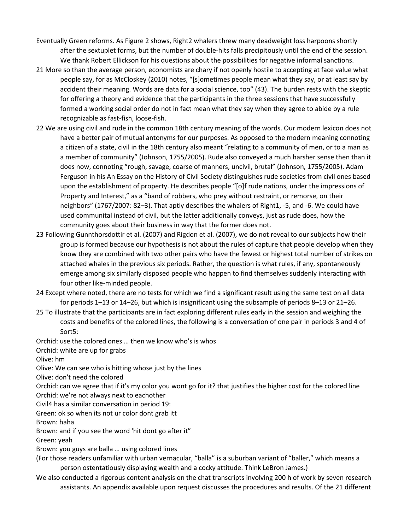- Eventually Green reforms. As Figure 2 shows, Right2 whalers threw many deadweight loss harpoons shortly after the sextuplet forms, but the number of double-hits falls precipitously until the end of the session. We thank Robert Ellickson for his questions about the possibilities for negative informal sanctions.
- 21 More so than the average person, economists are chary if not openly hostile to accepting at face value what people say, for as McCloskey (2010) notes, "[s]ometimes people mean what they say, or at least say by accident their meaning. Words are data for a social science, too" (43). The burden rests with the skeptic for offering a theory and evidence that the participants in the three sessions that have successfully formed a working social order do not in fact mean what they say when they agree to abide by a rule recognizable as fast-fish, loose-fish.
- 22 We are using civil and rude in the common 18th century meaning of the words. Our modern lexicon does not have a better pair of mutual antonyms for our purposes. As opposed to the modern meaning connoting a citizen of a state, civil in the 18th century also meant "relating to a community of men, or to a man as a member of community" (Johnson, 1755/2005). Rude also conveyed a much harsher sense then than it does now, connoting "rough, savage, coarse of manners, uncivil, brutal" (Johnson, 1755/2005). Adam Ferguson in his An Essay on the History of Civil Society distinguishes rude societies from civil ones based upon the establishment of property. He describes people "[o]f rude nations, under the impressions of Property and Interest," as a "band of robbers, who prey without restraint, or remorse, on their neighbors" (1767/2007: 82–3). That aptly describes the whalers of Right1, -5, and -6. We could have used communital instead of civil, but the latter additionally conveys, just as rude does, how the community goes about their business in way that the former does not.
- 23 Following Gunnthorsdottir et al. (2007) and Rigdon et al. (2007), we do not reveal to our subjects how their group is formed because our hypothesis is not about the rules of capture that people develop when they know they are combined with two other pairs who have the fewest or highest total number of strikes on attached whales in the previous six periods. Rather, the question is what rules, if any, spontaneously emerge among six similarly disposed people who happen to find themselves suddenly interacting with four other like-minded people.
- 24 Except where noted, there are no tests for which we find a significant result using the same test on all data for periods 1–13 or 14–26, but which is insignificant using the subsample of periods 8–13 or 21–26.
- 25 To illustrate that the participants are in fact exploring different rules early in the session and weighing the costs and benefits of the colored lines, the following is a conversation of one pair in periods 3 and 4 of Sort5:
- Orchid: use the colored ones … then we know who's is whos

Orchid: white are up for grabs

Olive: hm

Olive: We can see who is hitting whose just by the lines

Olive: don't need the colored

Orchid: can we agree that if it's my color you wont go for it? that justifies the higher cost for the colored line Orchid: we're not always next to eachother

Civil4 has a similar conversation in period 19:

Green: ok so when its not ur color dont grab itt

Brown: haha

Brown: and if you see the word 'hit dont go after it"

Green: yeah

Brown: you guys are balla … using colored lines

(For those readers unfamiliar with urban vernacular, "balla" is a suburban variant of "baller," which means a person ostentatiously displaying wealth and a cocky attitude. Think LeBron James.)

We also conducted a rigorous content analysis on the chat transcripts involving 200 h of work by seven research assistants. An appendix available upon request discusses the procedures and results. Of the 21 different